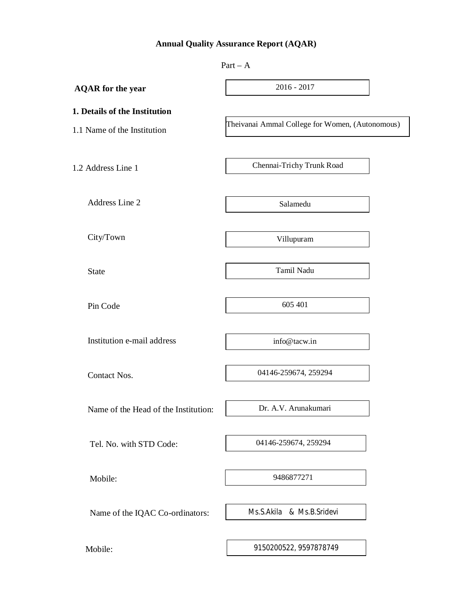# **Annual Quality Assurance Report (AQAR)**

|                                                              | $Part - A$                                      |
|--------------------------------------------------------------|-------------------------------------------------|
| <b>AQAR</b> for the year                                     | $2016 - 2017$                                   |
| 1. Details of the Institution<br>1.1 Name of the Institution | Theivanai Ammal College for Women, (Autonomous) |
| 1.2 Address Line 1                                           | Chennai-Trichy Trunk Road                       |
| Address Line 2                                               | Salamedu                                        |
| City/Town                                                    | Villupuram                                      |
| <b>State</b>                                                 | Tamil Nadu                                      |
| Pin Code                                                     | 605 401                                         |
| Institution e-mail address                                   | info@tacw.in                                    |
| Contact Nos.                                                 | 04146-259674, 259294                            |
| Name of the Head of the Institution:                         | Dr. A.V. Arunakumari                            |
| Tel. No. with STD Code:                                      | 04146-259674, 259294                            |
| Mobile:                                                      | 9486877271                                      |
| Name of the IQAC Co-ordinators:                              | Ms.S.Akila & Ms.B.Sridevi                       |
| Mobile:                                                      | 9150200522, 9597878749                          |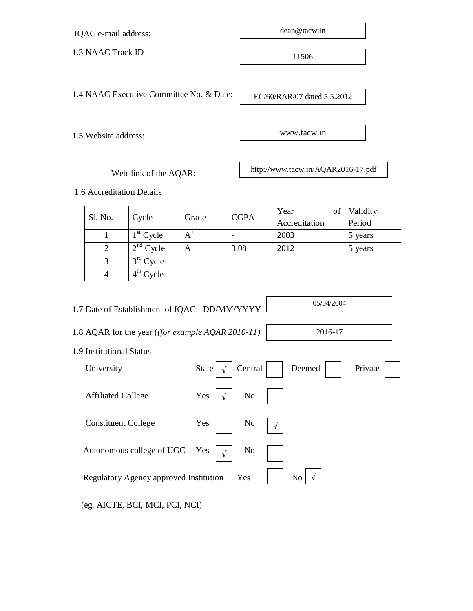IQAC e-mail address:

1.3 NAAC Track ID

dean@tacw.in

11506

1.4 NAAC Executive Committee No. & Date:

EC/60/RAR/07 dated 5.5.2012

www.tacw.in

1.5 Website address:

Web-link of the AQAR:

http://www.tacw.in/AQAR2016-17.pdf

1.6 Accreditation Details

| Sl. No. |             | Grade | <b>CGPA</b> | Year<br>of <sup>2</sup> | Validity |
|---------|-------------|-------|-------------|-------------------------|----------|
|         | Cycle       |       |             | Accreditation           | Period   |
|         | $1st$ Cycle | $A^+$ |             | 2003                    | 5 years  |
|         | $2nd$ Cycle | A     | 3.08        | 2012                    | 5 years  |
|         | $3rd$ Cycle |       |             |                         |          |
|         | $4th$ Cycle |       |             |                         |          |

1.7 Date of Establishment of IQAC: DD/MM/YYYY

1.8 AQAR for the year (*(for example AQAR 2010-11)*

1.9 Institutional Status

| University                                         | State<br>Central<br>$\sqrt{ }$      | Private<br>Deemed                                          |
|----------------------------------------------------|-------------------------------------|------------------------------------------------------------|
| <b>Affiliated College</b>                          | N <sub>0</sub><br>Yes<br>$\sqrt{ }$ |                                                            |
| <b>Constituent College</b>                         | Yes<br>No<br>$\sqrt{ }$             |                                                            |
| Autonomous college of UGC Yes $\vert \sqrt{\vert}$ | No                                  |                                                            |
| Regulatory Agency approved Institution             | Yes                                 | $\mathbb{N}^{\mathbb{O}}$ $\sqrt{\mathbb{N}^{\mathbb{O}}}$ |
|                                                    |                                     |                                                            |

(eg. AICTE, BCI, MCI, PCI, NCI)

05/04/2004

2016-17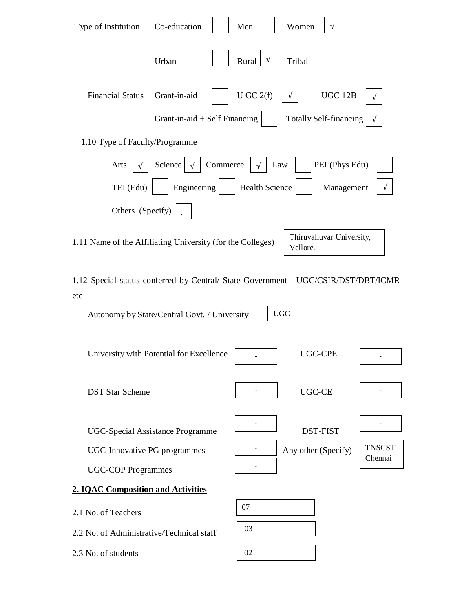| Type of Institution                                                                                                                                     | Co-education                    |          | Men            | Women      | $\sqrt{ }$                    |                          |
|---------------------------------------------------------------------------------------------------------------------------------------------------------|---------------------------------|----------|----------------|------------|-------------------------------|--------------------------|
|                                                                                                                                                         | Urban                           |          | V<br>Rural     | Tribal     |                               |                          |
| <b>Financial Status</b>                                                                                                                                 | Grant-in-aid                    |          | $U$ GC $2(f)$  | $\sqrt{ }$ | UGC 12B                       | $\sqrt{ }$               |
|                                                                                                                                                         | Grant-in-aid $+$ Self Financing |          |                |            | <b>Totally Self-financing</b> | $\sqrt{ }$               |
| 1.10 Type of Faculty/Programme                                                                                                                          |                                 |          |                |            |                               |                          |
| Arts                                                                                                                                                    | Science                         | Commerce | √              | Law        | PEI (Phys Edu)                |                          |
| TEI (Edu)                                                                                                                                               | Engineering                     |          | Health Science |            | Management                    | $\sqrt{ }$               |
| Others (Specify)                                                                                                                                        |                                 |          |                |            |                               |                          |
| 1.11 Name of the Affiliating University (for the Colleges)                                                                                              |                                 |          |                | Vellore.   | Thiruvalluvar University,     |                          |
| 1.12 Special status conferred by Central/ State Government-- UGC/CSIR/DST/DBT/ICMR<br>etc<br><b>UGC</b><br>Autonomy by State/Central Govt. / University |                                 |          |                |            |                               |                          |
| University with Potential for Excellence                                                                                                                |                                 |          |                |            | UGC-CPE                       |                          |
| <b>DST Star Scheme</b>                                                                                                                                  |                                 |          |                |            | UGC-CE                        |                          |
| <b>UGC-Special Assistance Programme</b>                                                                                                                 |                                 |          |                |            | <b>DST-FIST</b>               |                          |
| <b>UGC-Innovative PG programmes</b>                                                                                                                     |                                 |          |                |            | Any other (Specify)           | <b>TNSCST</b><br>Chennai |
| <b>UGC-COP Programmes</b>                                                                                                                               |                                 |          |                |            |                               |                          |
| <b>2. IQAC Composition and Activities</b>                                                                                                               |                                 |          |                |            |                               |                          |
| 2.1 No. of Teachers                                                                                                                                     |                                 |          | 07             |            |                               |                          |
| 2.2 No. of Administrative/Technical staff                                                                                                               |                                 |          | 03             |            |                               |                          |
| 2.3 No. of students                                                                                                                                     |                                 |          | 02             |            |                               |                          |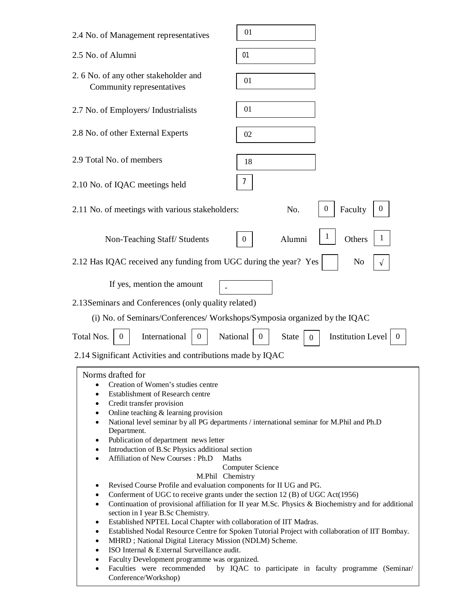| 2.4 No. of Management representatives                                                                                                                         | 01                                                                                                  |
|---------------------------------------------------------------------------------------------------------------------------------------------------------------|-----------------------------------------------------------------------------------------------------|
| 2.5 No. of Alumni                                                                                                                                             | 01                                                                                                  |
| 2.6 No. of any other stakeholder and<br>Community representatives                                                                                             | 01                                                                                                  |
| 2.7 No. of Employers/ Industrialists                                                                                                                          | 01                                                                                                  |
| 2.8 No. of other External Experts                                                                                                                             | 02                                                                                                  |
| 2.9 Total No. of members                                                                                                                                      | 18                                                                                                  |
| 2.10 No. of IQAC meetings held                                                                                                                                | 7                                                                                                   |
| 2.11 No. of meetings with various stakeholders:                                                                                                               | $\boldsymbol{0}$<br>Faculty<br>$\theta$<br>No.                                                      |
| Non-Teaching Staff/Students                                                                                                                                   | Alumni<br>Others<br>1<br>0                                                                          |
| 2.12 Has IQAC received any funding from UGC during the year? Yes                                                                                              | No                                                                                                  |
| If yes, mention the amount                                                                                                                                    |                                                                                                     |
| 2.13 Seminars and Conferences (only quality related)                                                                                                          |                                                                                                     |
| (i) No. of Seminars/Conferences/ Workshops/Symposia organized by the IQAC                                                                                     |                                                                                                     |
| Total Nos.<br>National<br>International<br>$\theta$<br>0                                                                                                      | <b>Institution Level</b><br><b>State</b><br>0<br>$\theta$<br>0                                      |
| 2.14 Significant Activities and contributions made by IQAC                                                                                                    |                                                                                                     |
| Norms drafted for                                                                                                                                             |                                                                                                     |
| Creation of Women's studies centre<br>$\bullet$                                                                                                               |                                                                                                     |
| Establishment of Research centre<br>$\bullet$<br>Credit transfer provision<br>$\bullet$                                                                       |                                                                                                     |
| Online teaching $&$ learning provision<br>$\bullet$                                                                                                           |                                                                                                     |
| $\bullet$<br>Department.                                                                                                                                      | National level seminar by all PG departments / international seminar for M.Phil and Ph.D            |
| Publication of department news letter<br>٠                                                                                                                    |                                                                                                     |
| Introduction of B.Sc Physics additional section<br>$\bullet$                                                                                                  |                                                                                                     |
| Affiliation of New Courses: Ph.D<br>Maths<br>$\bullet$                                                                                                        | <b>Computer Science</b>                                                                             |
| M.Phil Chemistry                                                                                                                                              |                                                                                                     |
| Revised Course Profile and evaluation components for II UG and PG.<br>٠<br>Conferment of UGC to receive grants under the section 12 (B) of UGC Act(1956)<br>٠ |                                                                                                     |
| $\bullet$                                                                                                                                                     | Continuation of provisional affiliation for II year M.Sc. Physics & Biochemistry and for additional |
| section in I year B.Sc Chemistry.<br>Established NPTEL Local Chapter with collaboration of IIT Madras.<br>٠                                                   |                                                                                                     |
| $\bullet$                                                                                                                                                     | Established Nodal Resource Centre for Spoken Tutorial Project with collaboration of IIT Bombay.     |
| MHRD; National Digital Literacy Mission (NDLM) Scheme.<br>$\bullet$<br>ISO Internal & External Surveillance audit.                                            |                                                                                                     |
| $\bullet$<br>Faculty Development programme was organized.<br>٠                                                                                                |                                                                                                     |
| Faculties were recommended<br>$\bullet$                                                                                                                       | by IQAC to participate in faculty programme (Seminar/                                               |
| Conference/Workshop)                                                                                                                                          |                                                                                                     |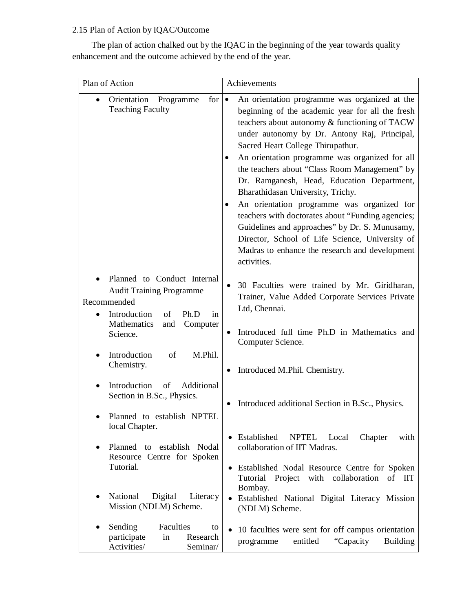# 2.15 Plan of Action by IQAC/Outcome

 The plan of action chalked out by the IQAC in the beginning of the year towards quality enhancement and the outcome achieved by the end of the year.

| Plan of Action                                                                                                                                                  | Achievements                                                                                                                                                                                                                                                                                                                                                                                                                                                                                                                                                                                                                                                                                                             |  |  |  |
|-----------------------------------------------------------------------------------------------------------------------------------------------------------------|--------------------------------------------------------------------------------------------------------------------------------------------------------------------------------------------------------------------------------------------------------------------------------------------------------------------------------------------------------------------------------------------------------------------------------------------------------------------------------------------------------------------------------------------------------------------------------------------------------------------------------------------------------------------------------------------------------------------------|--|--|--|
| Orientation<br>Programme<br>for <sub>1</sub><br><b>Teaching Faculty</b>                                                                                         | An orientation programme was organized at the<br>$\bullet$<br>beginning of the academic year for all the fresh<br>teachers about autonomy & functioning of TACW<br>under autonomy by Dr. Antony Raj, Principal,<br>Sacred Heart College Thirupathur.<br>An orientation programme was organized for all<br>٠<br>the teachers about "Class Room Management" by<br>Dr. Ramganesh, Head, Education Department,<br>Bharathidasan University, Trichy.<br>An orientation programme was organized for<br>teachers with doctorates about "Funding agencies;<br>Guidelines and approaches" by Dr. S. Munusamy,<br>Director, School of Life Science, University of<br>Madras to enhance the research and development<br>activities. |  |  |  |
| Planned to Conduct Internal<br><b>Audit Training Programme</b><br>Recommended<br>Introduction<br>of<br>Ph.D<br>in<br>Mathematics<br>and<br>Computer<br>Science. | 30 Faculties were trained by Mr. Giridharan,<br>$\bullet$<br>Trainer, Value Added Corporate Services Private<br>Ltd, Chennai.<br>Introduced full time Ph.D in Mathematics and                                                                                                                                                                                                                                                                                                                                                                                                                                                                                                                                            |  |  |  |
| Introduction<br>M.Phil.<br>of<br>Chemistry.                                                                                                                     | Computer Science.<br>Introduced M.Phil. Chemistry.                                                                                                                                                                                                                                                                                                                                                                                                                                                                                                                                                                                                                                                                       |  |  |  |
| Introduction<br>of<br>Additional<br>Section in B.Sc., Physics.<br>Planned to establish NPTEL                                                                    | Introduced additional Section in B.Sc., Physics.                                                                                                                                                                                                                                                                                                                                                                                                                                                                                                                                                                                                                                                                         |  |  |  |
| local Chapter.<br>Planned to establish Nodal<br>$\bullet$<br>Resource Centre for Spoken<br>Tutorial.                                                            | • Established<br>NPTEL Local<br>Chapter<br>with<br>collaboration of IIT Madras.<br>• Established Nodal Resource Centre for Spoken<br>Tutorial Project with collaboration<br>of IIT<br>Bombay.                                                                                                                                                                                                                                                                                                                                                                                                                                                                                                                            |  |  |  |
| National<br>Digital<br>Literacy<br>٠<br>Mission (NDLM) Scheme.                                                                                                  | Established National Digital Literacy Mission<br>$\bullet$<br>(NDLM) Scheme.                                                                                                                                                                                                                                                                                                                                                                                                                                                                                                                                                                                                                                             |  |  |  |
| Sending<br>Faculties<br>to<br>٠<br>participate<br>Research<br>in<br>Activities/<br>Seminar/                                                                     | 10 faculties were sent for off campus orientation<br>$\bullet$<br>entitled<br>"Capacity<br><b>Building</b><br>programme                                                                                                                                                                                                                                                                                                                                                                                                                                                                                                                                                                                                  |  |  |  |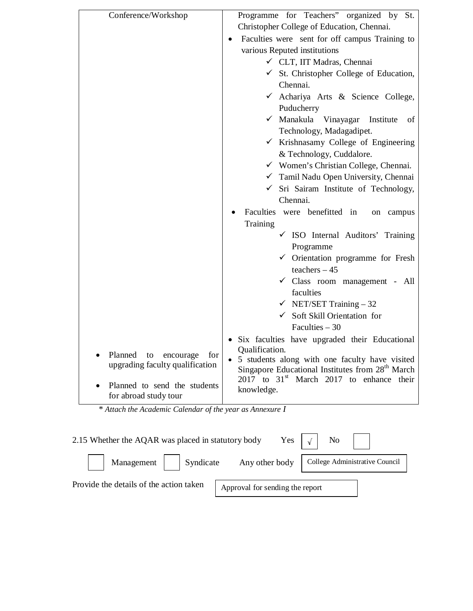| Conference/Workshop                                                  | Programme for Teachers" organized by St.                     |  |  |  |  |  |
|----------------------------------------------------------------------|--------------------------------------------------------------|--|--|--|--|--|
|                                                                      | Christopher College of Education, Chennai.                   |  |  |  |  |  |
|                                                                      | Faculties were sent for off campus Training to               |  |  |  |  |  |
|                                                                      | various Reputed institutions                                 |  |  |  |  |  |
|                                                                      | ← CLT, IIT Madras, Chennai                                   |  |  |  |  |  |
|                                                                      | $\checkmark$ St. Christopher College of Education,           |  |  |  |  |  |
|                                                                      | Chennai.                                                     |  |  |  |  |  |
|                                                                      | ← Achariya Arts & Science College,                           |  |  |  |  |  |
|                                                                      | Puducherry                                                   |  |  |  |  |  |
|                                                                      | ✓ Manakula Vinayagar<br>Institute<br>οf                      |  |  |  |  |  |
|                                                                      | Technology, Madagadipet.                                     |  |  |  |  |  |
|                                                                      | $\checkmark$ Krishnasamy College of Engineering              |  |  |  |  |  |
|                                                                      | & Technology, Cuddalore.                                     |  |  |  |  |  |
|                                                                      | $\checkmark$ Women's Christian College, Chennai.             |  |  |  |  |  |
|                                                                      | √ Tamil Nadu Open University, Chennai                        |  |  |  |  |  |
|                                                                      | Sri Sairam Institute of Technology,                          |  |  |  |  |  |
|                                                                      | Chennai.                                                     |  |  |  |  |  |
|                                                                      | Faculties were benefitted in<br>on campus                    |  |  |  |  |  |
|                                                                      | Training                                                     |  |  |  |  |  |
|                                                                      | $\checkmark$ ISO Internal Auditors' Training                 |  |  |  |  |  |
|                                                                      | Programme                                                    |  |  |  |  |  |
|                                                                      | $\checkmark$ Orientation programme for Fresh                 |  |  |  |  |  |
|                                                                      | teachers $-45$                                               |  |  |  |  |  |
|                                                                      | √ Class room management - All                                |  |  |  |  |  |
|                                                                      | faculties                                                    |  |  |  |  |  |
|                                                                      | $\checkmark$ NET/SET Training - 32                           |  |  |  |  |  |
|                                                                      | Soft Skill Orientation for                                   |  |  |  |  |  |
|                                                                      | Faculties $-30$                                              |  |  |  |  |  |
|                                                                      | • Six faculties have upgraded their Educational              |  |  |  |  |  |
|                                                                      | Qualification.                                               |  |  |  |  |  |
| Planned<br>to<br>encourage<br>for<br>upgrading faculty qualification | • 5 students along with one faculty have visited             |  |  |  |  |  |
|                                                                      | Singapore Educational Institutes from 28 <sup>th</sup> March |  |  |  |  |  |
| Planned to send the students                                         | $2017$ to $31st$ March 2017 to enhance their                 |  |  |  |  |  |
| for abroad study tour                                                | knowledge.                                                   |  |  |  |  |  |
|                                                                      |                                                              |  |  |  |  |  |

 *\* Attach the Academic Calendar of the year as Annexure I*

| 2.15 Whether the AQAR was placed in statutory body |                                 | Yes $\vert \sqrt{\vert}$ No $\vert$ |
|----------------------------------------------------|---------------------------------|-------------------------------------|
| Management     Syndicate Any other body            |                                 | College Administrative Council      |
| Provide the details of the action taken            | Approval for sending the report |                                     |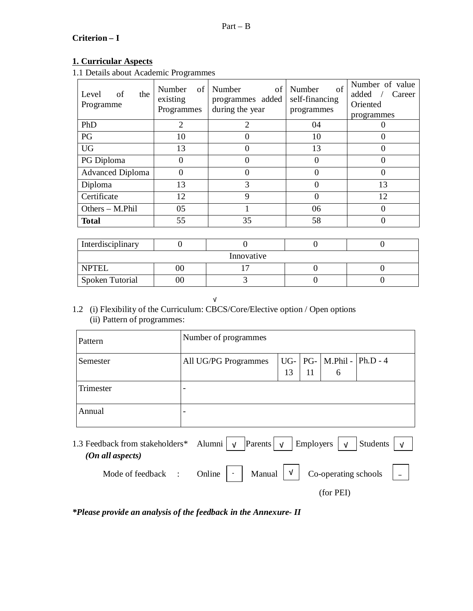# **Criterion – I**

# **1. Curricular Aspects**

1.1 Details about Academic Programmes

| Level<br>of<br>the<br>Programme | Number<br>of<br>existing<br>Programmes | Number<br>of<br>programmes added<br>during the year | of<br>Number<br>self-financing<br>programmes | Number of value<br>added<br>Career<br>Oriented<br>programmes |
|---------------------------------|----------------------------------------|-----------------------------------------------------|----------------------------------------------|--------------------------------------------------------------|
| PhD                             | $\overline{2}$                         | 2                                                   | 04                                           |                                                              |
| PG                              | 10                                     |                                                     | 10                                           |                                                              |
| <b>UG</b>                       | 13                                     |                                                     | 13                                           |                                                              |
| PG Diploma                      | $\theta$                               |                                                     | $\Omega$                                     |                                                              |
| <b>Advanced Diploma</b>         |                                        |                                                     | 0                                            |                                                              |
| Diploma                         | 13                                     | 3                                                   | $\Omega$                                     | 13                                                           |
| Certificate                     | 12                                     | $\mathbf Q$                                         | $\Omega$                                     | 12                                                           |
| Others - M.Phil                 | 05                                     |                                                     | 06                                           |                                                              |
| <b>Total</b>                    | 55                                     | 35                                                  | 58                                           |                                                              |

| Interdisciplinary |  |  |  |  |  |  |  |
|-------------------|--|--|--|--|--|--|--|
| Innovative        |  |  |  |  |  |  |  |
| <b>NPTEL</b>      |  |  |  |  |  |  |  |
| Spoken Tutorial   |  |  |  |  |  |  |  |

√

### 1.2 (i) Flexibility of the Curriculum: CBCS/Core/Elective option / Open options (ii) Pattern of programmes:

| Pattern                                                                                                                                                                                        | Number of programmes |    |                   |                          |  |  |
|------------------------------------------------------------------------------------------------------------------------------------------------------------------------------------------------|----------------------|----|-------------------|--------------------------|--|--|
| Semester                                                                                                                                                                                       | All UG/PG Programmes | 13 | $UG - PG -$<br>11 | $M.Phi1 - Ph.D - 4$<br>6 |  |  |
| Trimester                                                                                                                                                                                      |                      |    |                   |                          |  |  |
| Annual                                                                                                                                                                                         |                      |    |                   |                          |  |  |
| 1.3 Feedback from stakeholders* Alumni $\vert \nu \rangle$<br>  Employers $\vert \mathsf{v} \vert$<br>$\left  \text{Parents} \right $ $\sqrt{ }$<br>Students<br>$\sqrt{ }$<br>(On all aspects) |                      |    |                   |                          |  |  |
| Mode of feedback :                                                                                                                                                                             | Online<br>Manual     | V  |                   | Co-operating schools     |  |  |

(for PEI)

*\*Please provide an analysis of the feedback in the Annexure- II*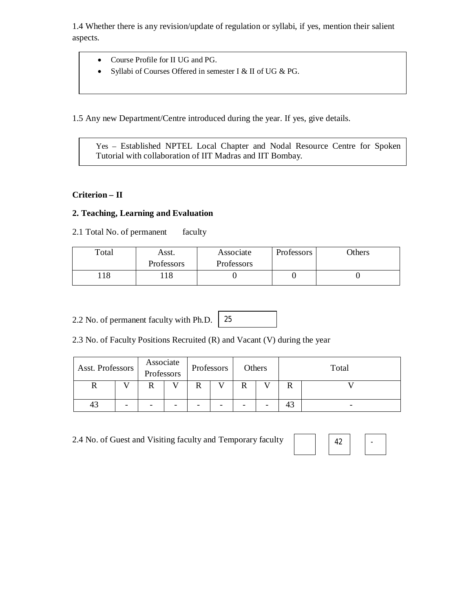1.4 Whether there is any revision/update of regulation or syllabi, if yes, mention their salient aspects.

- Course Profile for II UG and PG.
- Syllabi of Courses Offered in semester I & II of UG & PG.

1.5 Any new Department/Centre introduced during the year. If yes, give details.

Yes – Established NPTEL Local Chapter and Nodal Resource Centre for Spoken Tutorial with collaboration of IIT Madras and IIT Bombay.

#### **Criterion – II**

#### **2. Teaching, Learning and Evaluation**

2.1 Total No. of permanent faculty

| Total | Asst.      | Associate  | Professors | <b>Others</b> |
|-------|------------|------------|------------|---------------|
|       | Professors | Professors |            |               |
| 18    | 18         |            |            |               |

2.2 No. of permanent faculty with Ph.D. 25

2.3 No. of Faculty Positions Recruited (R) and Vacant (V) during the year

| Asst. Professors |   | Associate<br>Professors |   |   | Professors | Others |  | Total |   |
|------------------|---|-------------------------|---|---|------------|--------|--|-------|---|
|                  |   |                         |   | D |            |        |  |       |   |
| 41               | - |                         | - |   |            |        |  |       | - |

2.4 No. of Guest and Visiting faculty and Temporary faculty

| __ |  |
|----|--|
|    |  |

-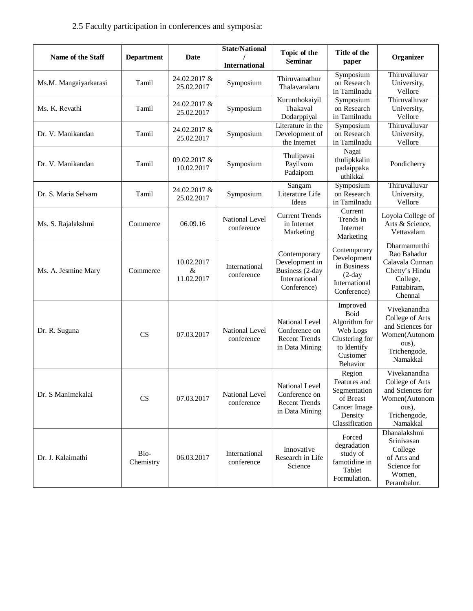# 2.5 Faculty participation in conferences and symposia:

| Name of the Staff     | <b>Department</b> | Date                             | <b>State/National</b><br><b>International</b> | Topic of the<br><b>Seminar</b>                                                    | Title of the<br>paper                                                                                  | Organizer                                                                                                 |
|-----------------------|-------------------|----------------------------------|-----------------------------------------------|-----------------------------------------------------------------------------------|--------------------------------------------------------------------------------------------------------|-----------------------------------------------------------------------------------------------------------|
| Ms.M. Mangaiyarkarasi | Tamil             | 24.02.2017 &<br>25.02.2017       | Symposium                                     | Thiruvamathur<br>Thalavaralaru                                                    | Symposium<br>on Research<br>in Tamilnadu                                                               | Thiruvalluvar<br>University,<br>Vellore                                                                   |
| Ms. K. Revathi        | Tamil             | 24.02.2017 &<br>25.02.2017       | Symposium                                     | Kurunthokaiyil<br>Thakaval<br>Dodarppiyal                                         | Symposium<br>on Research<br>in Tamilnadu                                                               | Thiruvalluvar<br>University,<br>Vellore                                                                   |
| Dr. V. Manikandan     | Tamil             | 24.02.2017 &<br>25.02.2017       | Symposium                                     | Literature in the<br>Development of<br>the Internet                               | $\overline{\text{Sym}}$ posium<br>on Research<br>in Tamilnadu                                          | Thiruvalluvar<br>University,<br>Vellore                                                                   |
| Dr. V. Manikandan     | Tamil             | 09.02.2017 &<br>10.02.2017       | Symposium                                     | Thulipavai<br>Payilvom<br>Padaipom                                                | Nagai<br>thulipkkalin<br>padaippaka<br>uthikkal                                                        | Pondicherry                                                                                               |
| Dr. S. Maria Selvam   | Tamil             | 24.02.2017 &<br>25.02.2017       | Symposium                                     | Sangam<br>Literature Life<br>Ideas                                                | Symposium<br>on Research<br>in Tamilnadu                                                               | Thiruvalluvar<br>University,<br>Vellore                                                                   |
| Ms. S. Rajalakshmi    | Commerce          | 06.09.16                         | National Level<br>conference                  | <b>Current Trends</b><br>in Internet<br>Marketing                                 | Current<br>Trends in<br>Internet<br>Marketing                                                          | Loyola College of<br>Arts & Science,<br>Vettavalam                                                        |
| Ms. A. Jesmine Mary   | Commerce          | 10.02.2017<br>$\&$<br>11.02.2017 | International<br>conference                   | Contemporary<br>Development in<br>Business (2-day<br>International<br>Conference) | Contemporary<br>Development<br>in Business<br>$(2-day$<br>International<br>Conference)                 | Dharmamurthi<br>Rao Bahadur<br>Calavala Cunnan<br>Chetty's Hindu<br>College,<br>Pattabiram,<br>Chennai    |
| Dr. R. Suguna         | CS                | 07.03.2017                       | National Level<br>conference                  | National Level<br>Conference on<br><b>Recent Trends</b><br>in Data Mining         | Improved<br>Boid<br>Algorithm for<br>Web Logs<br>Clustering for<br>to Identify<br>Customer<br>Behavior | Vivekanandha<br>College of Arts<br>and Sciences for<br>Women(Autonom<br>ous),<br>Trichengode,<br>Namakkal |
| Dr. S Manimekalai     | CS                | 07.03.2017                       | National Level<br>conference                  | National Level<br>Conference on<br><b>Recent Trends</b><br>in Data Mining         | Region<br>Features and<br>Segmentation<br>of Breast<br>Cancer Image<br>Density<br>Classification       | Vivekanandha<br>College of Arts<br>and Sciences for<br>Women(Autonom<br>ous),<br>Trichengode,<br>Namakkal |
| Dr. J. Kalaimathi     | Bio-<br>Chemistry | 06.03.2017                       | International<br>conference                   | Innovative<br>Research in Life<br>Science                                         | Forced<br>degradation<br>study of<br>famotidine in<br>Tablet<br>Formulation.                           | Dhanalakshmi<br>Srinivasan<br>College<br>of Arts and<br>Science for<br>Women,<br>Perambalur.              |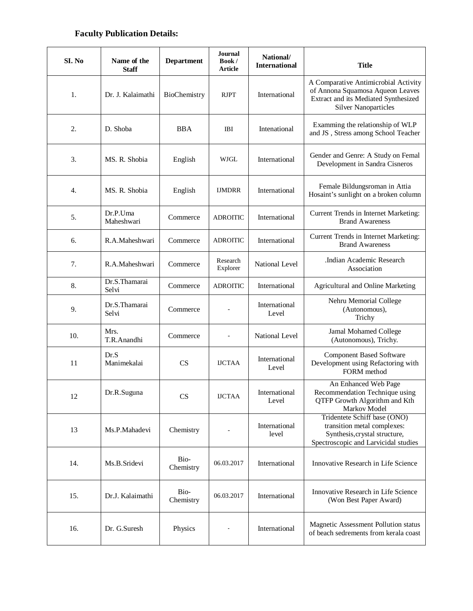### **Faculty Publication Details:**

| SI. No | Name of the<br><b>Staff</b> | <b>Department</b> | Journal<br>Book/<br>Article | National/<br><b>International</b> | <b>Title</b>                                                                                                                                    |
|--------|-----------------------------|-------------------|-----------------------------|-----------------------------------|-------------------------------------------------------------------------------------------------------------------------------------------------|
| 1.     | Dr. J. Kalaimathi           | BioChemistry      | <b>RJPT</b>                 | International                     | A Comparative Antimicrobial Activity<br>of Annona Squamosa Aqueon Leaves<br>Extract and its Mediated Synthesized<br><b>Silver Nanoparticles</b> |
| 2.     | D. Shoba                    | <b>BBA</b>        | IBI                         | Intenational                      | Examming the relationship of WLP<br>and JS, Stress among School Teacher                                                                         |
| 3.     | MS. R. Shobia               | English           | WJGL                        | International                     | Gender and Genre: A Study on Femal<br>Development in Sandra Cisneros                                                                            |
| 4.     | MS. R. Shobia               | English           | <b>IJMDRR</b>               | International                     | Female Bildungsroman in Attia<br>Hosaint's sunlight on a broken column                                                                          |
| 5.     | Dr.P.Uma<br>Maheshwari      | Commerce          | <b>ADROITIC</b>             | International                     | Current Trends in Internet Marketing:<br><b>Brand Awareness</b>                                                                                 |
| 6.     | R.A.Maheshwari              | Commerce          | <b>ADROITIC</b>             | International                     | Current Trends in Internet Marketing:<br><b>Brand Awareness</b>                                                                                 |
| 7.     | R.A.Maheshwari              | Commerce          | Research<br>Explorer        | National Level                    | .Indian Academic Research<br>Association                                                                                                        |
| 8.     | Dr.S.Thamarai<br>Selvi      | Commerce          | <b>ADROITIC</b>             | International                     | Agricultural and Online Marketing                                                                                                               |
| 9.     | Dr.S.Thamarai<br>Selvi      | Commerce          |                             | International<br>Level            | Nehru Memorial College<br>(Autonomous),<br>Trichy                                                                                               |
| 10.    | Mrs.<br>T.R.Anandhi         | Commerce          |                             | National Level                    | Jamal Mohamed College<br>(Autonomous), Trichy.                                                                                                  |
| 11     | Dr.S<br>Manimekalai         | <b>CS</b>         | <b>IJCTAA</b>               | International<br>Level            | <b>Component Based Software</b><br>Development using Refactoring with<br>FORM method                                                            |
| 12     | Dr.R.Suguna                 | <b>CS</b>         | <b>IJCTAA</b>               | International<br>Level            | An Enhanced Web Page<br>Recommendation Technique using<br>QTFP Growth Algorithm and Kth<br>Markov Model                                         |
| 13     | Ms.P.Mahadevi               | Chemistry         |                             | International<br>level            | Tridentete Schiff base (ONO)<br>transition metal complexes:<br>Synthesis, crystal structure,<br>Spectroscopic and Larvicidal studies            |
| 14.    | Ms.B.Sridevi                | Bio-<br>Chemistry | 06.03.2017                  | International                     | Innovative Research in Life Science                                                                                                             |
| 15.    | Dr.J. Kalaimathi            | Bio-<br>Chemistry | 06.03.2017                  | International                     | Innovative Research in Life Science<br>(Won Best Paper Award)                                                                                   |
| 16.    | Dr. G.Suresh                | Physics           |                             | International                     | Magnetic Assessment Pollution status<br>of beach sedrements from kerala coast                                                                   |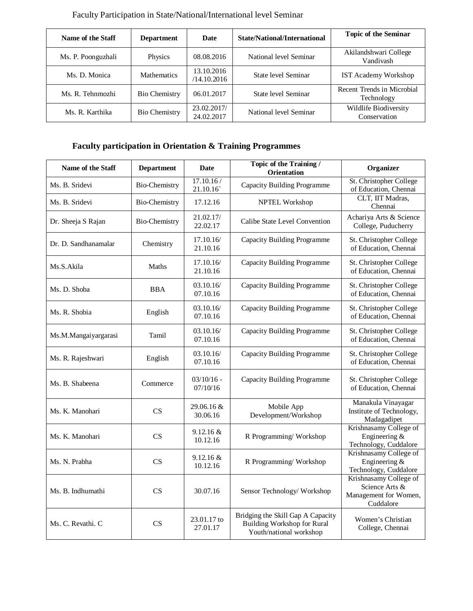| Name of the Staff<br><b>Date</b><br><b>Department</b> |                      |                           | State/National/International | <b>Topic of the Seminar</b>              |  |
|-------------------------------------------------------|----------------------|---------------------------|------------------------------|------------------------------------------|--|
| Ms. P. Poonguzhali                                    | Physics              | 08.08.2016                | National level Seminar       | Akilandshwari College<br>Vandivash       |  |
| Ms. D. Monica                                         | <b>Mathematics</b>   | 13.10.2016<br>/14.10.2016 | State level Seminar          | <b>IST Academy Workshop</b>              |  |
| Ms. R. Tehnmozhi                                      | <b>Bio Chemistry</b> | 06.01.2017                | State level Seminar          | Recent Trends in Microbial<br>Technology |  |
| Ms. R. Karthika                                       | <b>Bio Chemistry</b> | 23.02.2017/<br>24.02.2017 | National level Seminar       | Wildlife Biodiversity<br>Conservation    |  |

Faculty Participation in State/National/International level Seminar

# **Faculty participation in Orientation & Training Programmes**

| Name of the Staff    | <b>Department</b>    | <b>Date</b>              | Topic of the Training /<br><b>Orientation</b>                                                      | Organizer                                                                      |
|----------------------|----------------------|--------------------------|----------------------------------------------------------------------------------------------------|--------------------------------------------------------------------------------|
| Ms. B. Sridevi       | <b>Bio-Chemistry</b> | 17.10.16/<br>21.10.16    | <b>Capacity Building Programme</b>                                                                 | St. Christopher College<br>of Education, Chennai                               |
| Ms. B. Sridevi       | <b>Bio-Chemistry</b> | 17.12.16                 | NPTEL Workshop                                                                                     | CLT, IIT Madras,<br>Chennai                                                    |
| Dr. Sheeja S Rajan   | <b>Bio-Chemistry</b> | 21.02.17/<br>22.02.17    | Calibe State Level Convention                                                                      | Achariya Arts & Science<br>College, Puducherry                                 |
| Dr. D. Sandhanamalar | Chemistry            | 17.10.16/<br>21.10.16    | <b>Capacity Building Programme</b>                                                                 | St. Christopher College<br>of Education, Chennai                               |
| Ms.S.Akila           | Maths                | 17.10.16/<br>21.10.16    | <b>Capacity Building Programme</b>                                                                 | St. Christopher College<br>of Education, Chennai                               |
| Ms. D. Shoba         | <b>BBA</b>           | 03.10.16/<br>07.10.16    | <b>Capacity Building Programme</b>                                                                 | St. Christopher College<br>of Education, Chennai                               |
| Ms. R. Shobia        | English              | 03.10.16/<br>07.10.16    | <b>Capacity Building Programme</b>                                                                 | St. Christopher College<br>of Education, Chennai                               |
| Ms.M.Mangaiyargarasi | Tamil                | 03.10.16/<br>07.10.16    | <b>Capacity Building Programme</b>                                                                 | St. Christopher College<br>of Education, Chennai                               |
| Ms. R. Rajeshwari    | English              | 03.10.16/<br>07.10.16    | <b>Capacity Building Programme</b>                                                                 | St. Christopher College<br>of Education, Chennai                               |
| Ms. B. Shabeena      | Commerce             | $03/10/16$ -<br>07/10/16 | <b>Capacity Building Programme</b>                                                                 | St. Christopher College<br>of Education, Chennai                               |
| Ms. K. Manohari      | CS                   | 29.06.16 &<br>30.06.16   | Mobile App<br>Development/Workshop                                                                 | Manakula Vinayagar<br>Institute of Technology,<br>Madagadipet                  |
| Ms. K. Manohari      | CS                   | $9.12.16 \&$<br>10.12.16 | R Programming/Workshop                                                                             | Krishnasamy College of<br>Engineering &<br>Technology, Cuddalore               |
| Ms. N. Prabha        | CS                   | 9.12.16 &<br>10.12.16    | R Programming/Workshop                                                                             | Krishnasamy College of<br>Engineering &<br>Technology, Cuddalore               |
| Ms. B. Indhumathi    | CS                   | 30.07.16                 | Sensor Technology/Workshop                                                                         | Krishnasamy College of<br>Science Arts &<br>Management for Women,<br>Cuddalore |
| Ms. C. Revathi. C    | CS                   | 23.01.17 to<br>27.01.17  | Bridging the Skill Gap A Capacity<br><b>Building Workshop for Rural</b><br>Youth/national workshop | Women's Christian<br>College, Chennai                                          |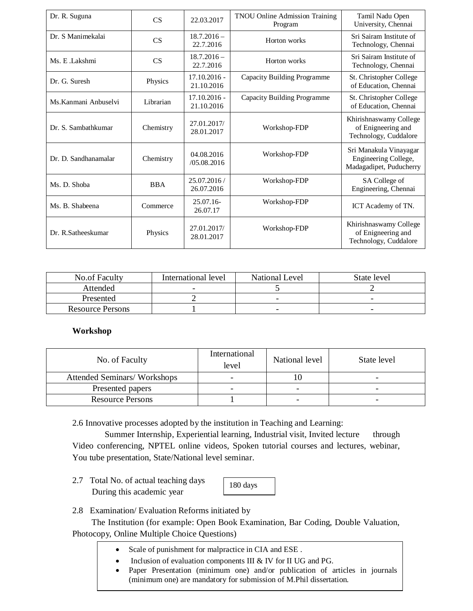| Dr. R. Suguna         | CS         | 22.03.2017                   | <b>TNOU Online Admission Training</b><br>Program | Tamil Nadu Open<br>University, Chennai                                    |
|-----------------------|------------|------------------------------|--------------------------------------------------|---------------------------------------------------------------------------|
| Dr. S Manimekalai     | <b>CS</b>  | $18.7.2016 -$<br>22.7.2016   | Horton works                                     | Sri Sairam Institute of<br>Technology, Chennai                            |
| Ms. E. Lakshmi        | <b>CS</b>  | $18.7.2016 -$<br>22.7.2016   | Horton works                                     | Sri Sairam Institute of<br>Technology, Chennai                            |
| Dr. G. Suresh         | Physics    | $17.10.2016 -$<br>21.10.2016 | Capacity Building Programme                      | St. Christopher College<br>of Education, Chennai                          |
| Ms. Kanmani Anbuselvi | Librarian  | $17.10.2016 -$<br>21.10.2016 | Capacity Building Programme                      | St. Christopher College<br>of Education, Chennai                          |
| Dr. S. Sambathkumar   | Chemistry  | 27.01.2017/<br>28.01.2017    | Workshop-FDP                                     | Khirishnaswamy College<br>of Enigneering and<br>Technology, Cuddalore     |
| Dr. D. Sandhanamalar  | Chemistry  | 04.08.2016<br>/05.08.2016    | Workshop-FDP                                     | Sri Manakula Vinayagar<br>Engineering College,<br>Madagadipet, Puducherry |
| Ms. D. Shoba          | <b>BBA</b> | 25.07.2016/<br>26.07.2016    | Workshop-FDP                                     | SA College of<br>Engineering, Chennai                                     |
| Ms. B. Shabeena       | Commerce   | $25.07.16-$<br>26.07.17      | Workshop-FDP                                     | ICT Academy of TN.                                                        |
| Dr. R.Satheeskumar    | Physics    | 27.01.2017/<br>28.01.2017    | Workshop-FDP                                     | Khirishnaswamy College<br>of Enigneering and<br>Technology, Cuddalore     |

| <b>No.of Faculty</b>    | International level | <b>National Level</b> | State level              |
|-------------------------|---------------------|-----------------------|--------------------------|
| Attended                | -                   |                       |                          |
| Presented               |                     |                       | $\overline{\phantom{0}}$ |
| <b>Resource Persons</b> |                     |                       | -                        |

#### **Workshop**

| No. of Faculty                     | International<br>National level<br>level |                          | State level |  |
|------------------------------------|------------------------------------------|--------------------------|-------------|--|
| <b>Attended Seminars/Workshops</b> |                                          |                          |             |  |
| Presented papers                   |                                          | $\overline{\phantom{a}}$ |             |  |
| <b>Resource Persons</b>            |                                          | -                        |             |  |

2.6 Innovative processes adopted by the institution in Teaching and Learning:

 Summer Internship, Experiential learning, Industrial visit, Invited lecture through Video conferencing, NPTEL online videos, Spoken tutorial courses and lectures, webinar, You tube presentation, State/National level seminar.

2.7 Total No. of actual teaching days During this academic year

180 days

2.8 Examination/ Evaluation Reforms initiated by

 The Institution (for example: Open Book Examination, Bar Coding, Double Valuation, Photocopy, Online Multiple Choice Questions)

- Scale of punishment for malpractice in CIA and ESE.
- Inclusion of evaluation components III & IV for II UG and PG.
- Paper Presentation (minimum one) and/or publication of articles in journals (minimum one) are mandatory for submission of M.Phil dissertation.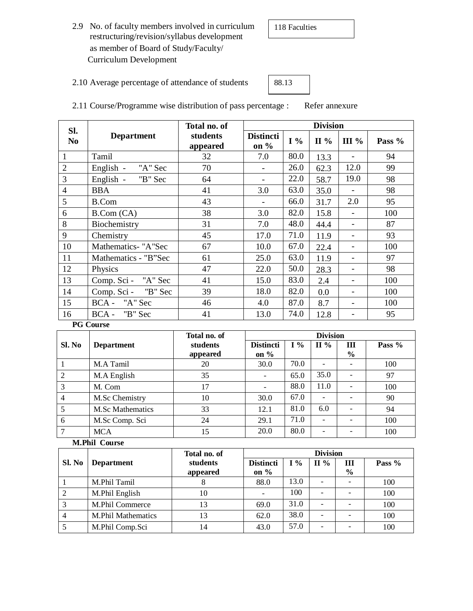2.9 No. of faculty members involved in curriculum restructuring/revision/syllabus development as member of Board of Study/Faculty/ Curriculum Development

2.10 Average percentage of attendance of students

| 88.13 |  |  |
|-------|--|--|
|       |  |  |

2.11 Course/Programme wise distribution of pass percentage : Refer annexure

| SI.            |                      | Total no. of         | <b>Division</b>            |       |         |      |        |  |
|----------------|----------------------|----------------------|----------------------------|-------|---------|------|--------|--|
| N <sub>0</sub> | <b>Department</b>    | students<br>appeared | <b>Distincti</b><br>on $%$ | $I\%$ | $\Pi\%$ | III% | Pass % |  |
| $\mathbf{1}$   | Tamil                | 32                   | 7.0                        | 80.0  | 13.3    |      | 94     |  |
| $\overline{2}$ | English -<br>"A" Sec | 70                   |                            | 26.0  | 62.3    | 12.0 | 99     |  |
| 3              | English - "B" Sec    | 64                   |                            | 22.0  | 58.7    | 19.0 | 98     |  |
| $\overline{4}$ | <b>BBA</b>           | 41                   | 3.0                        | 63.0  | 35.0    |      | 98     |  |
| 5              | <b>B.Com</b>         | 43                   |                            | 66.0  | 31.7    | 2.0  | 95     |  |
| 6              | B. Com (CA)          | 38                   | 3.0                        | 82.0  | 15.8    |      | 100    |  |
| 8              | Biochemistry         | 31                   | 7.0                        | 48.0  | 44.4    |      | 87     |  |
| 9              | Chemistry            | 45                   | 17.0                       | 71.0  | 11.9    |      | 93     |  |
| 10             | Mathematics- "A"Sec  | 67                   | 10.0                       | 67.0  | 22.4    |      | 100    |  |
| 11             | Mathematics - "B"Sec | 61                   | 25.0                       | 63.0  | 11.9    |      | 97     |  |
| 12             | Physics              | 47                   | 22.0                       | 50.0  | 28.3    |      | 98     |  |
| 13             | Comp. Sci - "A" Sec  | 41                   | 15.0                       | 83.0  | 2.4     |      | 100    |  |
| 14             | Comp. Sci - "B" Sec  | 39                   | 18.0                       | 82.0  | 0.0     |      | 100    |  |
| 15             | BCA - "A" Sec        | 46                   | 4.0                        | 87.0  | 8.7     |      | 100    |  |
| 16             | $BCA -$<br>"B" Sec   | 41                   | 13.0                       | 74.0  | 12.8    |      | 95     |  |

#### **PG Course**

|        |                         | Total no. of |                          | <b>Division</b> |                          |                          |        |  |
|--------|-------------------------|--------------|--------------------------|-----------------|--------------------------|--------------------------|--------|--|
| Sl. No | <b>Department</b>       | students     | <b>Distincti</b>         | $I\%$           | $\mathbf{H} \mathcal{A}$ | Ш                        | Pass % |  |
|        |                         | appeared     | on $%$                   |                 |                          | $\frac{6}{9}$            |        |  |
|        | M.A Tamil               | 20           | 30.0                     | 70.0            |                          |                          | 100    |  |
| 2      | M.A English             | 35           | $\overline{\phantom{a}}$ | 65.0            | 35.0                     | ۰                        | 97     |  |
| 3      | M. Com                  | 17           | $\overline{\phantom{0}}$ | 88.0            | 11.0                     | $\overline{\phantom{0}}$ | 100    |  |
| 4      | M.Sc Chemistry          | 10           | 30.0                     | 67.0            |                          |                          | 90     |  |
|        | <b>M.Sc Mathematics</b> | 33           | 12.1                     | 81.0            | 6.0                      |                          | 94     |  |
| 6      | M.Sc Comp. Sci          | 24           | 29.1                     | 71.0            |                          |                          | 100    |  |
| $\tau$ | <b>MCA</b>              | 15           | 20.0                     | 80.0            | ۰                        |                          | 100    |  |

**M.Phil Course**

|        |                           | Total no. of         | <b>Division</b>             |      |         |                          |        |
|--------|---------------------------|----------------------|-----------------------------|------|---------|--------------------------|--------|
| Sl. No | <b>Department</b>         | students<br>appeared | <b>Distincti</b><br>on $\%$ | I %  | $\Pi\%$ | Ш<br>$\frac{6}{9}$       | Pass % |
|        | M.Phil Tamil              | ⋀                    | 88.0                        | 13.0 | -       | $\overline{\phantom{0}}$ | 100    |
|        | M.Phil English            | 10                   |                             | 100  | -       |                          | 100    |
|        | M.Phil Commerce           | 13                   | 69.0                        | 31.0 | -       |                          | 100    |
|        | <b>M.Phil Mathematics</b> | 13                   | 62.0                        | 38.0 | -       |                          | 100    |
|        | M.Phil Comp.Sci           | 14                   | 43.0                        | 57.0 | -       |                          | 100    |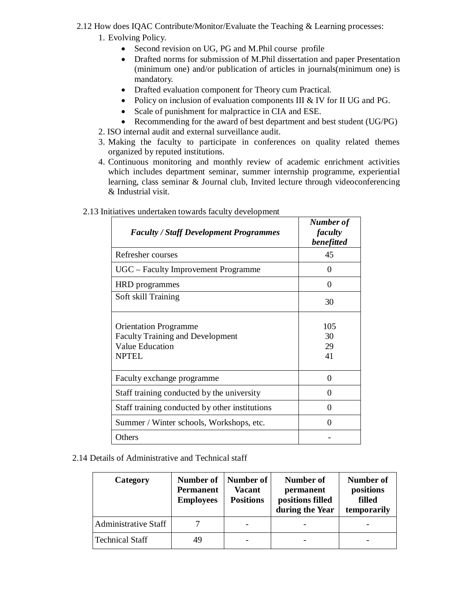- 2.12 How does IQAC Contribute/Monitor/Evaluate the Teaching & Learning processes:
	- 1. Evolving Policy.
		- Second revision on UG, PG and M.Phil course profile
		- Drafted norms for submission of M.Phil dissertation and paper Presentation (minimum one) and/or publication of articles in journals(minimum one) is mandatory.
		- Drafted evaluation component for Theory cum Practical.
		- Policy on inclusion of evaluation components III & IV for II UG and PG.
		- Scale of punishment for malpractice in CIA and ESE.
		- Recommending for the award of best department and best student (UG/PG)
	- 2. ISO internal audit and external surveillance audit.
	- 3. Making the faculty to participate in conferences on quality related themes organized by reputed institutions.
	- 4. Continuous monitoring and monthly review of academic enrichment activities which includes department seminar, summer internship programme, experiential learning, class seminar & Journal club, Invited lecture through videoconferencing & Industrial visit.

| <b>Faculty / Staff Development Programmes</b>                                                                     | Number of<br>faculty<br>benefitted |
|-------------------------------------------------------------------------------------------------------------------|------------------------------------|
| Refresher courses                                                                                                 | 45                                 |
| UGC – Faculty Improvement Programme                                                                               | 0                                  |
| HRD programmes                                                                                                    | 0                                  |
| Soft skill Training                                                                                               | 30                                 |
| <b>Orientation Programme</b><br><b>Faculty Training and Development</b><br><b>Value Education</b><br><b>NPTEL</b> | 105<br>30<br>29<br>41              |
| Faculty exchange programme                                                                                        | 0                                  |
| Staff training conducted by the university                                                                        | 0                                  |
| Staff training conducted by other institutions                                                                    | 0                                  |
| Summer / Winter schools, Workshops, etc.                                                                          | 0                                  |
| Others                                                                                                            |                                    |

#### 2.13 Initiatives undertaken towards faculty development

2.14 Details of Administrative and Technical staff

| Category                    | <b>Permanent</b><br><b>Employees</b> | Number of   Number of  <br><b>Vacant</b><br><b>Positions</b> | Number of<br>permanent<br>positions filled<br>during the Year | Number of<br>positions<br>filled<br>temporarily |
|-----------------------------|--------------------------------------|--------------------------------------------------------------|---------------------------------------------------------------|-------------------------------------------------|
| <b>Administrative Staff</b> |                                      |                                                              |                                                               |                                                 |
| <b>Technical Staff</b>      | 49                                   |                                                              |                                                               |                                                 |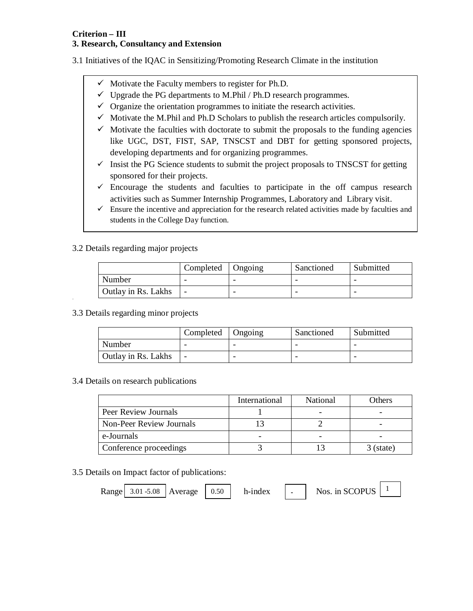# **Criterion – III**

#### **3. Research, Consultancy and Extension**

3.1 Initiatives of the IQAC in Sensitizing/Promoting Research Climate in the institution

- $\checkmark$  Motivate the Faculty members to register for Ph.D.
- $\checkmark$  Upgrade the PG departments to M.Phil / Ph.D research programmes.
- $\checkmark$  Organize the orientation programmes to initiate the research activities.
- $\checkmark$  Motivate the M.Phil and Ph.D Scholars to publish the research articles compulsorily.
- $\checkmark$  Motivate the faculties with doctorate to submit the proposals to the funding agencies like UGC, DST, FIST, SAP, TNSCST and DBT for getting sponsored projects, developing departments and for organizing programmes.
- $\checkmark$  Insist the PG Science students to submit the project proposals to TNSCST for getting sponsored for their projects.
- $\checkmark$  Encourage the students and faculties to participate in the off campus research activities such as Summer Internship Programmes, Laboratory and Library visit.
- $\checkmark$  Ensure the incentive and appreciation for the research related activities made by faculties and students in the College Day function.

#### 3.2 Details regarding major projects

|                            | Completed   Ongoing | Sanctioned | Submitted |
|----------------------------|---------------------|------------|-----------|
| Number                     |                     |            |           |
| <b>Outlay in Rs. Lakhs</b> |                     |            |           |

3.3 Details regarding minor projects

|                     | Completed | <b>Ongoing</b> | Sanctioned | Submitted |
|---------------------|-----------|----------------|------------|-----------|
| Number              |           |                |            |           |
| Outlay in Rs. Lakhs |           |                |            |           |

3.4 Details on research publications

|                                 | International | <b>National</b> | Others      |
|---------------------------------|---------------|-----------------|-------------|
| Peer Review Journals            |               |                 |             |
| <b>Non-Peer Review Journals</b> |               |                 |             |
| e-Journals                      |               |                 |             |
| Conference proceedings          |               |                 | $3$ (state) |

3.5 Details on Impact factor of publications:

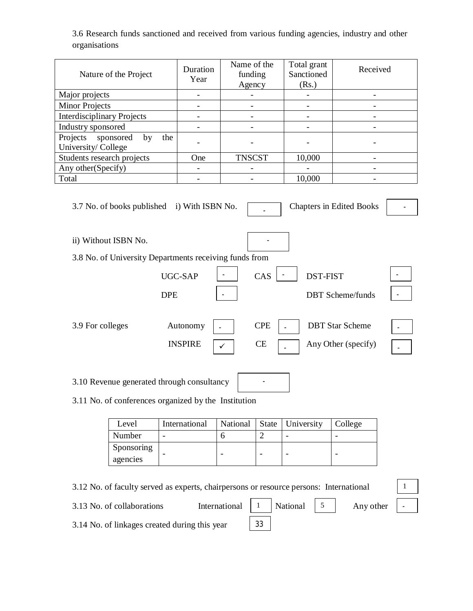3.6 Research funds sanctioned and received from various funding agencies, industry and other organisations

|                                                                                                                                 | Nature of the Project                                  |                          | Duration<br>Year             | Name of the<br>funding<br>Agency |                          | Total grant<br>Sanctioned<br>(Rs.) | Received                     |  |
|---------------------------------------------------------------------------------------------------------------------------------|--------------------------------------------------------|--------------------------|------------------------------|----------------------------------|--------------------------|------------------------------------|------------------------------|--|
| Major projects                                                                                                                  |                                                        |                          | $\qquad \qquad \blacksquare$ | -                                |                          |                                    |                              |  |
| <b>Minor Projects</b>                                                                                                           |                                                        |                          | $\qquad \qquad \blacksquare$ | $\overline{\phantom{0}}$         |                          | $\qquad \qquad -$                  | -                            |  |
| <b>Interdisciplinary Projects</b>                                                                                               |                                                        |                          | $\qquad \qquad \blacksquare$ |                                  |                          |                                    |                              |  |
| Industry sponsored                                                                                                              |                                                        |                          |                              |                                  |                          |                                    |                              |  |
| Projects<br>University/College                                                                                                  | sponsored<br>by                                        | the                      |                              |                                  |                          |                                    |                              |  |
| Students research projects                                                                                                      |                                                        |                          | One                          | <b>TNSCST</b>                    |                          | 10,000                             |                              |  |
| Any other(Specify)                                                                                                              |                                                        |                          |                              | -                                |                          |                                    | -                            |  |
| Total                                                                                                                           |                                                        |                          | $\overline{\phantom{0}}$     | -                                |                          | 10,000                             | -                            |  |
| 3.7 No. of books published i) With ISBN No.<br><b>Chapters in Edited Books</b>                                                  |                                                        |                          |                              |                                  |                          |                                    |                              |  |
|                                                                                                                                 | ii) Without ISBN No.                                   |                          |                              |                                  |                          |                                    |                              |  |
|                                                                                                                                 | 3.8 No. of University Departments receiving funds from |                          |                              |                                  |                          |                                    |                              |  |
|                                                                                                                                 |                                                        |                          | UGC-SAP                      |                                  | CAS                      | <b>DST-FIST</b>                    |                              |  |
|                                                                                                                                 |                                                        | <b>DPE</b>               |                              |                                  |                          |                                    | <b>DBT</b> Scheme/funds      |  |
| Autonomy<br><b>CPE</b><br><b>DBT</b> Star Scheme<br>3.9 For colleges<br><b>INSPIRE</b><br>Any Other (specify)<br><b>CE</b><br>✓ |                                                        |                          |                              |                                  |                          |                                    |                              |  |
| 3.10 Revenue generated through consultancy                                                                                      |                                                        |                          |                              |                                  |                          |                                    |                              |  |
| 3.11 No. of conferences organized by the Institution                                                                            |                                                        |                          |                              |                                  |                          |                                    |                              |  |
|                                                                                                                                 | Level                                                  |                          | International                | National                         | <b>State</b>             | University                         | College                      |  |
|                                                                                                                                 | Number                                                 | $\overline{\phantom{a}}$ |                              | 6                                | $\mathbf{2}$             | $\overline{\phantom{a}}$           | $\qquad \qquad \blacksquare$ |  |
|                                                                                                                                 | Sponsoring<br>agencies                                 |                          |                              | $\overline{\phantom{0}}$         | $\overline{\phantom{0}}$ |                                    | $\qquad \qquad \blacksquare$ |  |

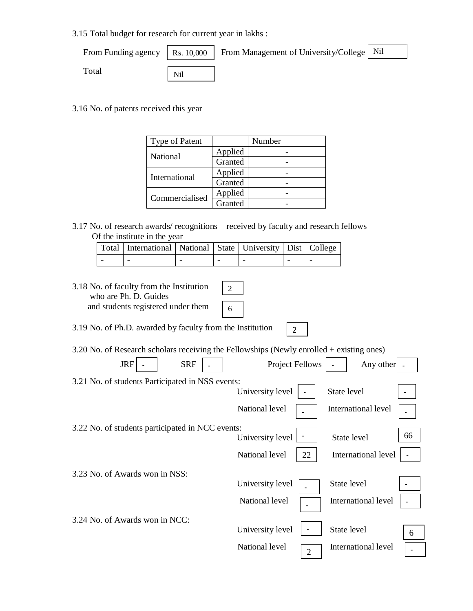3.15 Total budget for research for current year in lakhs :

|       |     | From Funding agency   Rs. 10,000   From Management of University/College   Nil |  |
|-------|-----|--------------------------------------------------------------------------------|--|
| Total | Nil |                                                                                |  |

3.16 No. of patents received this year

| Type of Patent |         | Number |
|----------------|---------|--------|
| National       | Applied |        |
|                | Granted |        |
| International  | Applied |        |
|                | Granted |        |
| Commercialised | Applied |        |
|                | Granted |        |

3.17 No. of research awards/ recognitions received by faculty and research fellows Of the institute in the year

| Total   International   National   State   University   Dist   College |  |  |  |
|------------------------------------------------------------------------|--|--|--|
|                                                                        |  |  |  |

| 3.18 No. of faculty from the Institution<br>who are Ph. D. Guides<br>and students registered under them | $\overline{2}$<br>6              |                     |    |
|---------------------------------------------------------------------------------------------------------|----------------------------------|---------------------|----|
| 3.19 No. of Ph.D. awarded by faculty from the Institution                                               | $\overline{2}$                   |                     |    |
| 3.20 No. of Research scholars receiving the Fellowships (Newly enrolled $+$ existing ones)              |                                  |                     |    |
| <b>SRF</b><br><b>JRF</b>                                                                                | Project Fellows                  | Any other           |    |
| 3.21 No. of students Participated in NSS events:                                                        |                                  |                     |    |
|                                                                                                         | University level                 | State level         |    |
|                                                                                                         | National level                   | International level |    |
| 3.22 No. of students participated in NCC events:                                                        |                                  |                     |    |
|                                                                                                         | University level                 | State level         | 66 |
|                                                                                                         | National level<br>22             | International level |    |
| 3.23 No. of Awards won in NSS:                                                                          |                                  |                     |    |
|                                                                                                         | University level                 | State level         |    |
|                                                                                                         | National level                   | International level |    |
| 3.24 No. of Awards won in NCC:                                                                          |                                  |                     |    |
|                                                                                                         | University level                 | State level         | 6  |
|                                                                                                         | National level<br>$\overline{2}$ | International level |    |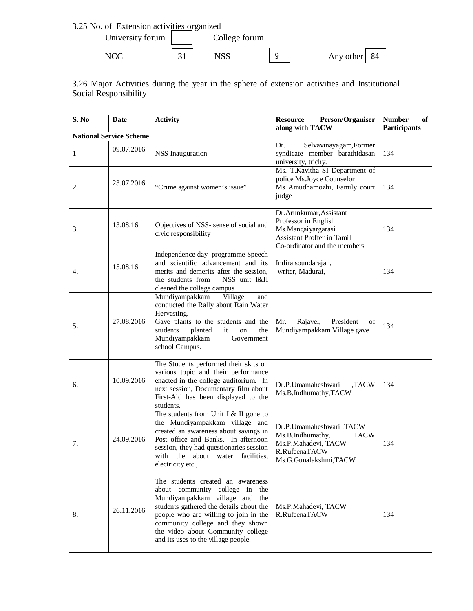

3.26 Major Activities during the year in the sphere of extension activities and Institutional Social Responsibility

| S. No | Date                           | <b>Activity</b>                                                                                                                                                                                                                                                                                           | Person/Organiser<br><b>Resource</b><br>along with TACW                                                                                      | <b>Number</b><br>of<br><b>Participants</b> |
|-------|--------------------------------|-----------------------------------------------------------------------------------------------------------------------------------------------------------------------------------------------------------------------------------------------------------------------------------------------------------|---------------------------------------------------------------------------------------------------------------------------------------------|--------------------------------------------|
|       | <b>National Service Scheme</b> |                                                                                                                                                                                                                                                                                                           |                                                                                                                                             |                                            |
| 1     | 09.07.2016                     | NSS Inauguration                                                                                                                                                                                                                                                                                          | Selvavinayagam, Former<br>Dr.<br>syndicate member barathidasan<br>university, trichy.                                                       | 134                                        |
| 2.    | 23.07.2016                     | "Crime against women's issue"                                                                                                                                                                                                                                                                             | Ms. T.Kavitha SI Department of<br>police Ms.Joyce Counselor<br>Ms Amudhamozhi, Family court<br>judge                                        | 134                                        |
| 3.    | 13.08.16                       | Objectives of NSS- sense of social and<br>civic responsibility                                                                                                                                                                                                                                            | Dr. Arunkumar, Assistant<br>Professor in English<br>Ms.Mangaiyargarasi<br><b>Assistant Proffer in Tamil</b><br>Co-ordinator and the members | 134                                        |
| 4.    | 15.08.16                       | Independence day programme Speech<br>and scientific advancement and its<br>merits and demerits after the session,<br>the students from<br>NSS unit I&II<br>cleaned the college campus                                                                                                                     | Indira soundarajan,<br>writer, Madurai,                                                                                                     | 134                                        |
| 5.    | 27.08.2016                     | Mundiyampakkam<br>Village<br>and<br>conducted the Rally about Rain Water<br>Hervesting.<br>Gave plants to the students and the<br>students<br>planted<br>it<br>on<br>the<br>Mundiyampakkam<br>Government<br>school Campus.                                                                                | Mr.<br>Rajavel,<br>President<br>of<br>Mundiyampakkam Village gave                                                                           | 134                                        |
| 6.    | 10.09.2016                     | The Students performed their skits on<br>various topic and their performance<br>enacted in the college auditorium. In<br>next session, Documentary film about<br>First-Aid has been displayed to the<br>students.                                                                                         | Dr.P.Umamaheshwari<br>,TACW<br>Ms.B.Indhumathy,TACW                                                                                         | 134                                        |
| 7.    | 24.09.2016                     | The students from Unit I & II gone to<br>the Mundiyampakkam village and<br>created an awareness about savings in<br>Post office and Banks, In afternoon<br>session, they had questionaries session<br>with the about water facilities,<br>electricity etc.,                                               | Dr.P.Umamaheshwari,TACW<br>Ms.B.Indhumathy,<br><b>TACW</b><br>Ms.P.Mahadevi, TACW<br>R.RufeenaTACW<br>Ms.G.Gunalakshmi,TACW                 | 134                                        |
| 8.    | 26.11.2016                     | The students created an awareness<br>about community college in the<br>Mundiyampakkam village and the<br>students gathered the details about the<br>people who are willing to join in the<br>community college and they shown<br>the video about Community college<br>and its uses to the village people. | Ms.P.Mahadevi, TACW<br>R.RufeenaTACW                                                                                                        | 134                                        |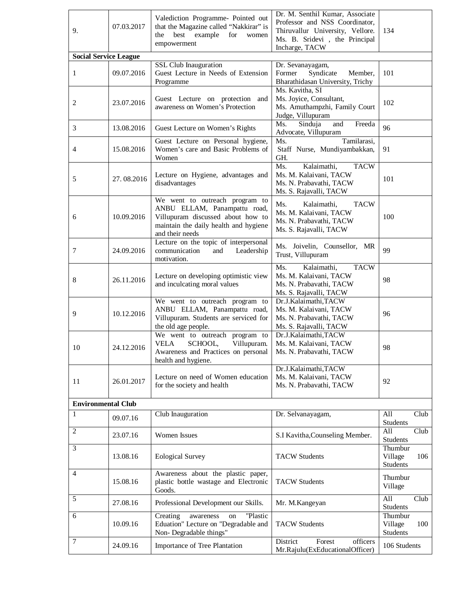| 9.                           | 07.03.2017 | Valediction Programme- Pointed out<br>that the Magazine called "Nakkirar" is<br>best<br>example<br>for<br>the<br>women<br>empowerment                           | 134                                                                                                              |                                              |  |
|------------------------------|------------|-----------------------------------------------------------------------------------------------------------------------------------------------------------------|------------------------------------------------------------------------------------------------------------------|----------------------------------------------|--|
| <b>Social Service League</b> |            |                                                                                                                                                                 | Incharge, TACW                                                                                                   |                                              |  |
| 1                            | 09.07.2016 | SSL Club Inauguration<br>Guest Lecture in Needs of Extension<br>Programme                                                                                       | Dr. Sevanayagam,<br>Syndicate<br>Former<br>Member,<br>Bharathidasan University, Trichy                           | 101                                          |  |
| 2                            | 23.07.2016 | Guest Lecture on protection and<br>awareness on Women's Protection                                                                                              | Ms. Kavitha, SI<br>Ms. Joyice, Consultant,<br>Ms. Amuthampzhi, Family Court<br>Judge, Villupuram                 | 102                                          |  |
| 3                            | 13.08.2016 | Guest Lecture on Women's Rights                                                                                                                                 | Ms.<br>Sinduja<br>and<br>Freeda<br>Advocate, Villupuram                                                          | 96                                           |  |
| 4                            | 15.08.2016 | Guest Lecture on Personal hygiene,<br>Women's care and Basic Problems of<br>Women                                                                               | Tamilarasi,<br>Ms.<br>Staff Nurse, Mundiyambakkan,<br>GH.                                                        | 91                                           |  |
| 5                            | 27.08.2016 | Lecture on Hygiene, advantages and<br>disadvantages                                                                                                             | Kalaimathi,<br><b>TACW</b><br>Ms.<br>Ms. M. Kalaivani, TACW<br>Ms. N. Prabavathi, TACW<br>Ms. S. Rajavalli, TACW | 101                                          |  |
| 6                            | 10.09.2016 | We went to outreach program to<br>ANBU ELLAM, Panampattu road,<br>Villupuram discussed about how to<br>maintain the daily health and hygiene<br>and their needs | Kalaimathi,<br><b>TACW</b><br>Ms.<br>Ms. M. Kalaivani, TACW<br>Ms. N. Prabavathi, TACW<br>Ms. S. Rajavalli, TACW | 100                                          |  |
| 7                            | 24.09.2016 | Lecture on the topic of interpersonal<br>communication<br>Leadership<br>and<br>motivation.                                                                      | Ms. Joivelin, Counsellor, MR<br>Trust, Villupuram                                                                | 99                                           |  |
| 8                            | 26.11.2016 | Lecture on developing optimistic view<br>and inculcating moral values                                                                                           | Kalaimathi,<br><b>TACW</b><br>Ms.<br>Ms. M. Kalaivani, TACW<br>Ms. N. Prabavathi, TACW<br>Ms. S. Rajavalli, TACW | 98                                           |  |
| 9                            | 10.12.2016 | We went to outreach program to<br>ANBU ELLAM, Panampattu road,<br>Villupuram. Students are serviced for<br>the old age people.                                  | Dr.J.Kalaimathi,TACW<br>Ms. M. Kalaivani, TACW<br>Ms. N. Prabavathi, TACW<br>Ms. S. Rajavalli, TACW              | 96                                           |  |
| 10                           | 24.12.2016 | We went to outreach program to<br><b>VELA</b><br>SCHOOL,<br>Villupuram.<br>Awareness and Practices on personal<br>health and hygiene.                           | Dr.J.Kalaimathi,TACW<br>Ms. M. Kalaivani, TACW<br>Ms. N. Prabavathi, TACW                                        | 98                                           |  |
| 11                           | 26.01.2017 | Lecture on need of Women education<br>for the society and health                                                                                                | Dr.J.Kalaimathi,TACW<br>Ms. M. Kalaivani, TACW<br>Ms. N. Prabavathi, TACW                                        | 92                                           |  |
| <b>Environmental Club</b>    |            |                                                                                                                                                                 |                                                                                                                  |                                              |  |
| 1                            | 09.07.16   | Club Inauguration                                                                                                                                               | Dr. Selvanayagam,                                                                                                | Club<br>All<br><b>Students</b>               |  |
| $\overline{2}$               | 23.07.16   | Women Issues                                                                                                                                                    | S.I Kavitha, Counseling Member.                                                                                  | All<br>Club<br><b>Students</b>               |  |
| 3                            | 13.08.16   | <b>Eological Survey</b>                                                                                                                                         | <b>TACW Students</b>                                                                                             | Thumbur<br>Village<br>106<br>Students        |  |
| $\overline{4}$               | 15.08.16   | Awareness about the plastic paper,<br>plastic bottle wastage and Electronic<br>Goods.                                                                           | <b>TACW Students</b>                                                                                             | Thumbur<br>Village                           |  |
| 5                            | 27.08.16   | Professional Development our Skills.                                                                                                                            | Mr. M. Kangeyan                                                                                                  | All<br>Club<br>Students                      |  |
| 6                            | 10.09.16   | "Plastic<br>Creating<br>awareness<br>on<br>Eduation" Lecture on "Degradable and<br>Non-Degradable things"                                                       | <b>TACW Students</b>                                                                                             | Thumbur<br>Village<br>100<br><b>Students</b> |  |
| 7                            | 24.09.16   | Importance of Tree Plantation                                                                                                                                   | District<br>Forest<br>officers<br>Mr.Rajulu(ExEducationalOfficer)                                                | 106 Students                                 |  |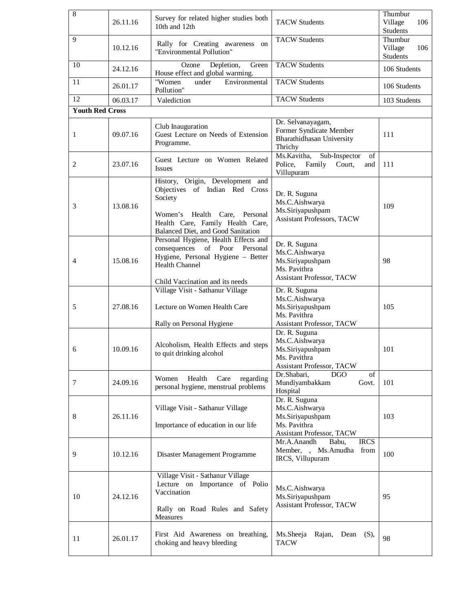| $\overline{8}$         | 26.11.16 | Survey for related higher studies both<br>10th and 12th                                                                                                                                     | <b>TACW Students</b>                                                                                    |                                                          |
|------------------------|----------|---------------------------------------------------------------------------------------------------------------------------------------------------------------------------------------------|---------------------------------------------------------------------------------------------------------|----------------------------------------------------------|
| 9                      | 10.12.16 | Rally for Creating awareness on<br>"Environmental Pollution"                                                                                                                                | <b>TACW Students</b>                                                                                    | Students<br>Thumbur<br>Village<br>106<br><b>Students</b> |
| 10                     | 24.12.16 | Ozone<br>Depletion,<br>Green<br>House effect and global warming.                                                                                                                            | <b>TACW Students</b>                                                                                    | 106 Students                                             |
| 11                     | 26.01.17 | "Women<br>Environmental<br>under<br>Pollution"                                                                                                                                              | <b>TACW Students</b>                                                                                    | 106 Students                                             |
| 12                     | 06.03.17 | Valediction                                                                                                                                                                                 | <b>TACW Students</b>                                                                                    | 103 Students                                             |
| <b>Youth Red Cross</b> |          |                                                                                                                                                                                             |                                                                                                         |                                                          |
| 1                      | 09.07.16 | Club Inauguration<br>Guest Lecture on Needs of Extension<br>Programme.                                                                                                                      | Dr. Selvanayagam,<br>Former Syndicate Member<br>Bharathidhasan University<br>Thrichy                    | 111                                                      |
| 2                      | 23.07.16 | Guest Lecture on Women Related<br><b>Issues</b>                                                                                                                                             | Sub-Inspector<br>Ms.Kavitha,<br>of<br>Police,<br>Family<br>Court,<br>and<br>Villupuram                  | 111                                                      |
| 3                      | 13.08.16 | History, Origin, Development and<br>Objectives of Indian Red Cross<br>Society<br>Women's Health Care,<br>Personal<br>Health Care, Family Health Care,<br>Balanced Diet, and Good Sanitation | Dr. R. Suguna<br>Ms.C.Aishwarya<br>Ms.Siriyapushpam<br><b>Assistant Professors, TACW</b>                | 109                                                      |
| $\overline{4}$         | 15.08.16 | Personal Hygiene, Health Effects and<br>consequences of Poor<br>Personal<br>Hygiene, Personal Hygiene - Better<br><b>Health Channel</b><br>Child Vaccination and its needs                  | Dr. R. Suguna<br>Ms.C.Aishwarya<br>Ms.Siriyapushpam<br>Ms. Pavithra<br><b>Assistant Professor, TACW</b> | 98                                                       |
| 5                      | 27.08.16 | Village Visit - Sathanur Village<br>Lecture on Women Health Care<br>Rally on Personal Hygiene                                                                                               | Dr. R. Suguna<br>Ms.C.Aishwarya<br>Ms.Siriyapushpam<br>Ms. Pavithra<br><b>Assistant Professor, TACW</b> | 105                                                      |
| 6                      | 10.09.16 | Alcoholism, Health Effects and steps<br>to quit drinking alcohol                                                                                                                            | Dr. R. Suguna<br>Ms.C.Aishwarya<br>Ms.Siriyapushpam<br>Ms. Pavithra<br>Assistant Professor, TACW        | 101                                                      |
| 7                      | 24.09.16 | Women<br>Health<br>Care<br>regarding<br>personal hygiene, menstrual problems                                                                                                                | Dr.Shabari,<br><b>DGO</b><br>of<br>Mundiyambakkam<br>Govt.<br>Hospital                                  | 101                                                      |
| 8                      | 26.11.16 | Village Visit - Sathanur Village<br>Importance of education in our life                                                                                                                     | Dr. R. Suguna<br>Ms.C.Aishwarya<br>Ms.Siriyapushpam<br>Ms. Pavithra<br><b>Assistant Professor, TACW</b> | 103                                                      |
| 9                      | 10.12.16 | Disaster Management Programme                                                                                                                                                               | Mr.A.Anandh<br>Babu,<br><b>IRCS</b><br>Member, , Ms.Amudha from<br>IRCS, Villupuram                     | 100                                                      |
| 10                     | 24.12.16 | Village Visit - Sathanur Village<br>Lecture on Importance of Polio<br>Vaccination<br>Rally on Road Rules and Safety<br>Measures                                                             | Ms.C.Aishwarya<br>Ms.Siriyapushpam<br>Assistant Professor, TACW                                         | 95                                                       |
| 11                     | 26.01.17 | First Aid Awareness on breathing,<br>choking and heavy bleeding                                                                                                                             | Ms.Sheeja<br>Rajan, Dean (S),<br><b>TACW</b>                                                            | 98                                                       |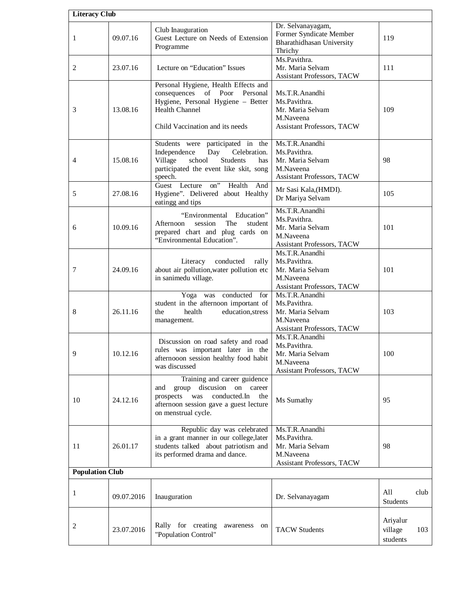| <b>Literacy Club</b>   |            |                                                                                                                                                                                                                       |                                                                                                      |                                        |
|------------------------|------------|-----------------------------------------------------------------------------------------------------------------------------------------------------------------------------------------------------------------------|------------------------------------------------------------------------------------------------------|----------------------------------------|
| 1                      | 09.07.16   | Club Inauguration<br>Guest Lecture on Needs of Extension<br>Programme                                                                                                                                                 | Dr. Selvanayagam,<br>Former Syndicate Member<br>Bharathidhasan University<br>Thrichy                 | 119                                    |
| 2                      | 23.07.16   | Lecture on "Education" Issues                                                                                                                                                                                         | Ms.Pavithra.<br>Mr. Maria Selvam<br><b>Assistant Professors, TACW</b>                                | 111                                    |
| 3                      | 13.08.16   | Personal Hygiene, Health Effects and<br>consequences of Poor Personal<br>Hygiene, Personal Hygiene - Better<br><b>Health Channel</b><br>Child Vaccination and its needs                                               | Ms.T.R.Anandhi<br>Ms.Pavithra.<br>Mr. Maria Selvam<br>M.Naveena<br><b>Assistant Professors, TACW</b> | 109                                    |
| 4                      | 15.08.16   | Students were participated in the<br>Independence<br>Day<br>Celebration.<br>Village<br>school<br><b>Students</b><br>has<br>participated the event like skit, song<br>speech.<br>Guest Lecture<br>on"<br>Health<br>And | Ms.T.R.Anandhi<br>Ms.Pavithra.<br>Mr. Maria Selvam<br>M.Naveena<br><b>Assistant Professors, TACW</b> |                                        |
| 5                      | 27.08.16   | Hygiene". Delivered about Healthy<br>eatingg and tips                                                                                                                                                                 | Mr Sasi Kala, (HMDI).<br>Dr Mariya Selvam                                                            | 105                                    |
| 6                      | 10.09.16   | "Environmental Education"<br>Afternoon<br>session<br>The<br>student<br>prepared chart and plug cards on<br>"Environmental Education".                                                                                 | Ms.T.R.Anandhi<br>Ms.Pavithra.<br>Mr. Maria Selvam<br>M.Naveena<br><b>Assistant Professors, TACW</b> | 101                                    |
| 7                      | 24.09.16   | conducted<br>Literacy<br>rally<br>about air pollution, water pollution etc<br>in sanimedu village.                                                                                                                    | Ms.T.R.Anandhi<br>Ms.Pavithra.<br>Mr. Maria Selvam<br>M.Naveena<br>Assistant Professors, TACW        | 101                                    |
| 8                      | 26.11.16   | Yoga was conducted for<br>student in the afternoon important of<br>education, stress<br>health<br>the<br>management.                                                                                                  | Ms.T.R.Anandhi<br>Ms.Pavithra.<br>Mr. Maria Selvam<br>M.Naveena<br>Assistant Professors, TACW        | 103                                    |
| 9                      | 10.12.16   | Discussion on road safety and road<br>rules was important later in the<br>afternooon session healthy food habit<br>was discussed                                                                                      | Ms.T.R.Anandhi<br>Ms.Pavithra.<br>Mr. Maria Selvam<br>M.Naveena<br><b>Assistant Professors, TACW</b> | 100                                    |
| 10                     | 24.12.16   | Training and career guidence<br>discusion on career<br>and<br>group<br>conducted.In<br>prospects was<br>the<br>afternoon session gave a guest lecture<br>on menstrual cycle.                                          | Ms Sumathy                                                                                           | 95                                     |
| 11                     | 26.01.17   | Republic day was celebrated<br>in a grant manner in our college, later<br>students talked about patriotism and<br>its performed drama and dance.                                                                      | Ms.T.R.Anandhi<br>Ms.Pavithra.<br>Mr. Maria Selvam<br>M.Naveena<br><b>Assistant Professors, TACW</b> | 98                                     |
| <b>Population Club</b> |            |                                                                                                                                                                                                                       |                                                                                                      |                                        |
| 1                      | 09.07.2016 | Inauguration                                                                                                                                                                                                          | Dr. Selvanayagam                                                                                     | All<br>club<br>Students                |
| 2                      | 23.07.2016 | Rally for creating<br>awareness on<br>"Population Control"                                                                                                                                                            | <b>TACW Students</b>                                                                                 | Ariyalur<br>village<br>103<br>students |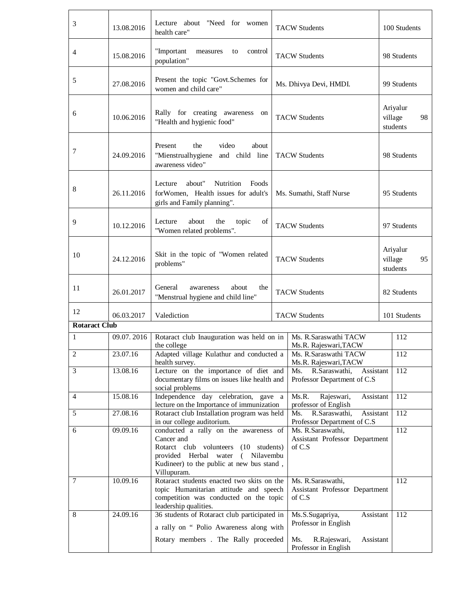| 3                    | 13.08.2016 | Lecture about "Need for women<br>health care"                                                                                                                                                                                                                                                                             |                        | <b>TACW Students</b>                                                                                             |                                       | 100 Students                          |  |
|----------------------|------------|---------------------------------------------------------------------------------------------------------------------------------------------------------------------------------------------------------------------------------------------------------------------------------------------------------------------------|------------------------|------------------------------------------------------------------------------------------------------------------|---------------------------------------|---------------------------------------|--|
| $\overline{4}$       | 15.08.2016 | "Important<br>control<br>measures<br>to<br>population"                                                                                                                                                                                                                                                                    | <b>TACW Students</b>   | 98 Students                                                                                                      |                                       |                                       |  |
| 5                    | 27.08.2016 | Present the topic "Govt.Schemes for<br>women and child care"                                                                                                                                                                                                                                                              | Ms. Dhivya Devi, HMDI. |                                                                                                                  | 99 Students                           |                                       |  |
| 6                    | 10.06.2016 | Rally for creating awareness on<br>"Health and hygienic food"                                                                                                                                                                                                                                                             |                        | <b>TACW Students</b>                                                                                             |                                       | Ariyalur<br>98<br>village<br>students |  |
| 7                    | 24.09.2016 | Present<br>the<br>video<br>about<br>"Mienstrualhygiene and child line<br>awareness video"                                                                                                                                                                                                                                 |                        | <b>TACW Students</b>                                                                                             | 98 Students                           |                                       |  |
| 8                    | 26.11.2016 | Lecture<br>about"<br>Nutrition<br>Foods<br>for Women, Health issues for adult's<br>girls and Family planning".                                                                                                                                                                                                            |                        | Ms. Sumathi, Staff Nurse                                                                                         | 95 Students                           |                                       |  |
| 9                    | 10.12.2016 | Lecture<br>about<br>the<br>of<br>topic<br>"Women related problems".                                                                                                                                                                                                                                                       | <b>TACW Students</b>   |                                                                                                                  |                                       | 97 Students                           |  |
| 10                   | 24.12.2016 | Skit in the topic of "Women related<br><b>TACW Students</b><br>problems"                                                                                                                                                                                                                                                  |                        |                                                                                                                  | Ariyalur<br>village<br>95<br>students |                                       |  |
| 11                   | 26.01.2017 | General<br>about<br>awareness<br>the<br>"Menstrual hygiene and child line"                                                                                                                                                                                                                                                | <b>TACW Students</b>   |                                                                                                                  |                                       | 82 Students                           |  |
| 12                   | 06.03.2017 | Valediction                                                                                                                                                                                                                                                                                                               |                        | <b>TACW Students</b>                                                                                             |                                       | 101 Students                          |  |
| <b>Rotaract Club</b> |            |                                                                                                                                                                                                                                                                                                                           |                        |                                                                                                                  |                                       |                                       |  |
| 1                    | 09.07.2016 | Rotaract club Inauguration was held on in<br>the college                                                                                                                                                                                                                                                                  |                        | Ms. R.Saraswathi TACW<br>Ms.R. Rajeswari, TACW                                                                   |                                       | 112                                   |  |
| $\overline{2}$       | 23.07.16   | Adapted village Kulathur and conducted a<br>health survey.                                                                                                                                                                                                                                                                |                        | Ms. R.Saraswathi TACW<br>Ms.R. Rajeswari, TACW                                                                   |                                       | 112                                   |  |
| 3                    | 13.08.16   | Lecture on the importance of diet and<br>documentary films on issues like health and<br>social problems                                                                                                                                                                                                                   |                        | R.Saraswathi,<br>Ms.<br>Assistant<br>Professor Department of C.S                                                 |                                       | 112                                   |  |
| $\overline{4}$       | 15.08.16   | Independence day celebration,<br>gave a<br>lecture on the Importance of immunization                                                                                                                                                                                                                                      |                        | Ms.R.<br>Rajeswari,<br>Assistant<br>professor of English                                                         |                                       | 112                                   |  |
| 5                    | 27.08.16   | Rotaract club Installation program was held                                                                                                                                                                                                                                                                               |                        | Assistant<br>Ms.<br>R.Saraswathi,                                                                                |                                       | 112                                   |  |
| 6                    | 09.09.16   | in our college auditorium.<br>Professor Department of C.S<br>conducted a rally on the awareness of<br>Ms. R.Saraswathi,<br>Cancer and<br>Assistant Professor Department<br>Rotarct club volunteers (10 students)<br>of C.S<br>provided Herbal water<br>Nilavembu<br>$\left($<br>Kudineer) to the public at new bus stand, |                        |                                                                                                                  |                                       | 112                                   |  |
| 7                    | 10.09.16   | Villupuram.<br>Rotaract students enacted two skits on the<br>Ms. R.Saraswathi,<br>topic Humanitarian attitude and speech<br>Assistant Professor Department<br>competition was conducted on the topic<br>of C.S                                                                                                            |                        |                                                                                                                  |                                       | 112                                   |  |
| 8                    | 24.09.16   | leadership qualities.<br>36 students of Rotaract club participated in<br>a rally on " Polio Awareness along with<br>Rotary members . The Rally proceeded                                                                                                                                                                  |                        | Ms.S.Sugapriya,<br>Assistant<br>Professor in English<br>Ms.<br>R.Rajeswari,<br>Assistant<br>Professor in English |                                       | 112                                   |  |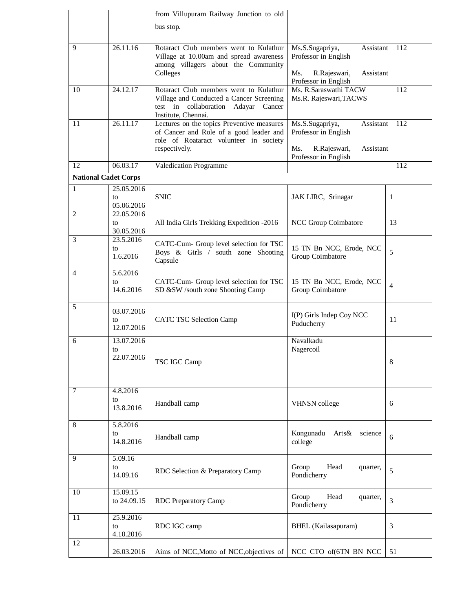|                             |                         | from Villupuram Railway Junction to old                                               |                                                          |                |  |
|-----------------------------|-------------------------|---------------------------------------------------------------------------------------|----------------------------------------------------------|----------------|--|
|                             |                         | bus stop.                                                                             |                                                          |                |  |
|                             |                         |                                                                                       |                                                          |                |  |
| 9                           | 26.11.16                | Rotaract Club members went to Kulathur<br>Village at 10.00am and spread awareness     | Assistant<br>Ms.S.Sugapriya,<br>Professor in English     | 112            |  |
|                             |                         | among villagers about the Community                                                   |                                                          |                |  |
|                             | Colleges                |                                                                                       | Ms.<br>R.Rajeswari,<br>Assistant<br>Professor in English |                |  |
| 10                          | 24.12.17                | Rotaract Club members went to Kulathur                                                | Ms. R.Saraswathi TACW                                    | 112            |  |
|                             |                         | Village and Conducted a Cancer Screening<br>test in collaboration Adayar Cancer       | Ms.R. Rajeswari, TACWS                                   |                |  |
|                             |                         | Institute, Chennai.                                                                   |                                                          |                |  |
| 11                          | 26.11.17                | Lectures on the topics Preventive measures<br>of Cancer and Role of a good leader and | Assistant<br>Ms.S.Sugapriya,<br>Professor in English     | 112            |  |
|                             |                         | role of Roataract volunteer in society                                                |                                                          |                |  |
|                             |                         | respectively.                                                                         | Ms.<br>R.Rajeswari,<br>Assistant<br>Professor in English |                |  |
| 12                          | 06.03.17                | <b>Valedication Programme</b>                                                         |                                                          | 112            |  |
| <b>National Cadet Corps</b> |                         |                                                                                       |                                                          |                |  |
| 1                           | 25.05.2016<br>to        | <b>SNIC</b>                                                                           | JAK LIRC, Srinagar                                       | 1              |  |
|                             | 05.06.2016              |                                                                                       |                                                          |                |  |
| 2                           | 22.05.2016              |                                                                                       | NCC Group Coimbatore                                     |                |  |
|                             | to<br>30.05.2016        | All India Girls Trekking Expedition -2016                                             |                                                          | 13             |  |
| 3                           | 23.5.2016               | CATC-Cum- Group level selection for TSC                                               |                                                          |                |  |
|                             | to<br>1.6.2016          | Boys & Girls / south zone Shooting<br>Capsule                                         | 15 TN Bn NCC, Erode, NCC<br>Group Coimbatore             | 5              |  |
| 4                           | 5.6.2016                |                                                                                       |                                                          |                |  |
|                             | to                      | CATC-Cum- Group level selection for TSC                                               | 15 TN Bn NCC, Erode, NCC                                 | 4              |  |
|                             | 14.6.2016               | SD &SW /south zone Shooting Camp                                                      | Group Coimbatore                                         |                |  |
| 5                           | 03.07.2016              |                                                                                       |                                                          |                |  |
|                             | to                      | <b>CATC TSC Selection Camp</b>                                                        | I(P) Girls Indep Coy NCC<br>Puducherry                   | 11             |  |
|                             | 12.07.2016              |                                                                                       |                                                          |                |  |
| 6                           | 13.07.2016<br>to        |                                                                                       | Navalkadu<br>Nagercoil                                   |                |  |
|                             | 22.07.2016              | TSC IGC Camp                                                                          |                                                          | $\,8\,$        |  |
|                             |                         |                                                                                       |                                                          |                |  |
|                             |                         |                                                                                       |                                                          |                |  |
| 7                           | 4.8.2016<br>to          |                                                                                       |                                                          |                |  |
|                             | 13.8.2016               | Handball camp                                                                         | <b>VHNSN</b> college                                     | 6              |  |
| 8                           | 5.8.2016                |                                                                                       |                                                          |                |  |
|                             | to                      | Handball camp                                                                         | Kongunadu<br>Arts& science                               | 6              |  |
|                             | 14.8.2016               |                                                                                       | college                                                  |                |  |
| 9                           | 5.09.16                 |                                                                                       |                                                          |                |  |
|                             | to<br>14.09.16          | RDC Selection & Preparatory Camp                                                      | Head<br>Group<br>quarter,<br>Pondicherry                 | 5              |  |
|                             |                         |                                                                                       |                                                          |                |  |
| $\overline{10}$             | 15.09.15<br>to 24.09.15 | <b>RDC</b> Preparatory Camp                                                           | Group<br>Head<br>quarter,                                | $\overline{3}$ |  |
|                             |                         |                                                                                       | Pondicherry                                              |                |  |
| 11                          | 25.9.2016<br>to         | RDC IGC camp                                                                          | <b>BHEL</b> (Kailasapuram)                               | 3              |  |
|                             | 4.10.2016               |                                                                                       |                                                          |                |  |
| 12                          | 26.03.2016              | Aims of NCC, Motto of NCC, objectives of                                              | NCC CTO of(6TN BN NCC                                    | 51             |  |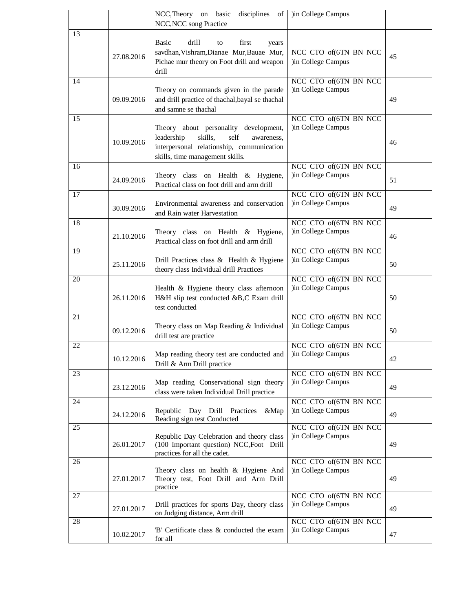|    |            | NCC, Theory on basic<br>disciplines<br>of                                                 | )in College Campus                          |    |
|----|------------|-------------------------------------------------------------------------------------------|---------------------------------------------|----|
|    |            | NCC, NCC song Practice                                                                    |                                             |    |
| 13 |            |                                                                                           |                                             |    |
|    |            | <b>Basic</b><br>drill<br>first<br>to<br>years                                             |                                             |    |
|    | 27.08.2016 | savdhan, Vishram, Dianae Mur, Bauae Mur,                                                  | NCC CTO of(6TN BN NCC                       | 45 |
|    |            | Pichae mur theory on Foot drill and weapon                                                | )in College Campus                          |    |
|    |            | drill                                                                                     |                                             |    |
| 14 |            |                                                                                           | NCC CTO of(6TN BN NCC<br>)in College Campus |    |
|    | 09.09.2016 | Theory on commands given in the parade<br>and drill practice of thachal, bayal se thachal |                                             | 49 |
|    |            | and samne se thachal                                                                      |                                             |    |
| 15 |            |                                                                                           | NCC CTO of(6TN BN NCC                       |    |
|    |            | Theory about personality development,                                                     | )in College Campus                          |    |
|    |            | skills,<br>self<br>leadership<br>awareness.                                               |                                             |    |
|    | 10.09.2016 | interpersonal relationship, communication                                                 |                                             | 46 |
|    |            | skills, time management skills.                                                           |                                             |    |
| 16 |            |                                                                                           | NCC CTO of(6TN BN NCC                       |    |
|    |            | Theory class on Health & Hygiene,                                                         | )in College Campus                          |    |
|    | 24.09.2016 | Practical class on foot drill and arm drill                                               |                                             | 51 |
| 17 |            |                                                                                           | NCC CTO of(6TN BN NCC                       |    |
|    | 30.09.2016 | Environmental awareness and conservation                                                  | )in College Campus                          | 49 |
|    |            | and Rain water Harvestation                                                               |                                             |    |
| 18 |            |                                                                                           | NCC CTO of(6TN BN NCC                       |    |
|    | 21.10.2016 | Theory class on Health & Hygiene,                                                         | )in College Campus                          | 46 |
|    |            | Practical class on foot drill and arm drill                                               |                                             |    |
| 19 |            |                                                                                           | NCC CTO of(6TN BN NCC                       |    |
|    | 25.11.2016 | Drill Practices class & Health & Hygiene<br>theory class Individual drill Practices       | )in College Campus                          | 50 |
| 20 |            |                                                                                           | NCC CTO of(6TN BN NCC                       |    |
|    |            | Health & Hygiene theory class afternoon                                                   | )in College Campus                          |    |
|    | 26.11.2016 | H&H slip test conducted &B,C Exam drill                                                   |                                             | 50 |
|    |            | test conducted                                                                            |                                             |    |
| 21 |            |                                                                                           | NCC CTO of(6TN BN NCC                       |    |
|    |            | Theory class on Map Reading & Individual                                                  | )in College Campus                          |    |
|    | 09.12.2016 | drill test are practice                                                                   |                                             | 50 |
| 22 |            |                                                                                           | NCC CTO of(6TN BN NCC                       |    |
|    | 10.12.2016 | Map reading theory test are conducted and                                                 | ) in College Campus                         | 42 |
|    |            | Drill & Arm Drill practice                                                                |                                             |    |
| 23 |            |                                                                                           | NCC CTO of 6TN BN NCC                       |    |
|    | 23.12.2016 | Map reading Conservational sign theory                                                    | )in College Campus                          | 49 |
|    |            | class were taken Individual Drill practice                                                |                                             |    |
| 24 |            | Republic Day Drill Practices<br>⤅                                                         | NCC CTO of(6TN BN NCC<br>)in College Campus |    |
|    | 24.12.2016 | Reading sign test Conducted                                                               |                                             | 49 |
| 25 |            |                                                                                           | NCC CTO of(6TN BN NCC                       |    |
|    |            | Republic Day Celebration and theory class                                                 | )in College Campus                          |    |
|    | 26.01.2017 | (100 Important question) NCC, Foot Drill                                                  |                                             | 49 |
|    |            | practices for all the cadet.                                                              |                                             |    |
| 26 |            | Theory class on health & Hygiene And                                                      | NCC CTO of(6TN BN NCC<br>)in College Campus |    |
|    | 27.01.2017 | Theory test, Foot Drill and Arm Drill                                                     |                                             | 49 |
|    |            | practice                                                                                  |                                             |    |
| 27 |            |                                                                                           | NCC CTO of(6TN BN NCC                       |    |
|    | 27.01.2017 | Drill practices for sports Day, theory class                                              | )in College Campus                          | 49 |
| 28 |            | on Judging distance, Arm drill                                                            | NCC CTO of(6TN BN NCC                       |    |
|    |            | 'B' Certificate class & conducted the exam                                                | )in College Campus                          |    |
|    | 10.02.2017 | for all                                                                                   |                                             | 47 |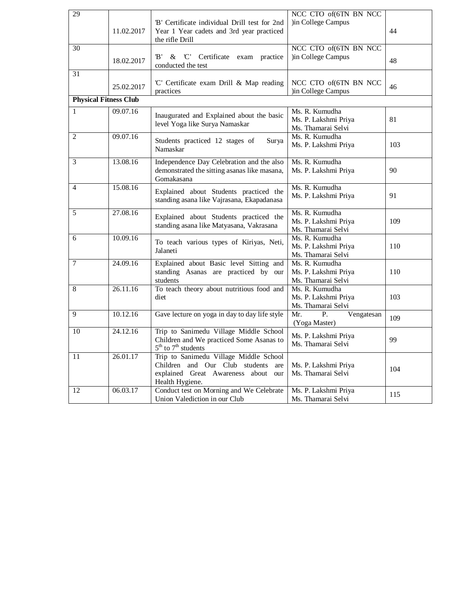| 29             | 11.02.2017                   | "B" Certificate individual Drill test for 2nd<br>Year 1 Year cadets and 3rd year practiced<br>the rifle Drill                             | NCC CTO of(6TN BN NCC<br>)in College Campus                  | 44  |
|----------------|------------------------------|-------------------------------------------------------------------------------------------------------------------------------------------|--------------------------------------------------------------|-----|
| 30             | 18.02.2017                   | B'<br>$\&$ $C'$<br>Certificate exam practice<br>conducted the test                                                                        | NCC CTO of(6TN BN NCC<br>)in College Campus                  | 48  |
| 31             | 25.02.2017                   | 'C' Certificate exam Drill & Map reading<br>practices                                                                                     | NCC CTO of(6TN BN NCC<br>)in College Campus                  | 46  |
|                | <b>Physical Fitness Club</b> |                                                                                                                                           |                                                              |     |
| 1              | 09.07.16                     | Inaugurated and Explained about the basic<br>level Yoga like Surya Namaskar                                                               | Ms. R. Kumudha<br>Ms. P. Lakshmi Priya<br>Ms. Thamarai Selvi | 81  |
| $\overline{c}$ | 09.07.16                     | Students practiced 12 stages of<br>Surya<br>Namaskar                                                                                      | Ms. R. Kumudha<br>Ms. P. Lakshmi Priya                       | 103 |
| 3              | 13.08.16                     | Independence Day Celebration and the also<br>demonstrated the sitting asanas like masana,<br>Gomakasana                                   | Ms. R. Kumudha<br>Ms. P. Lakshmi Priya                       | 90  |
| 4              | 15.08.16                     | Explained about Students practiced the<br>standing asana like Vajrasana, Ekapadanasa                                                      | Ms. R. Kumudha<br>Ms. P. Lakshmi Priya                       | 91  |
| 5              | 27.08.16                     | Explained about Students practiced the<br>standing asana like Matyasana, Vakrasana                                                        | Ms. R. Kumudha<br>Ms. P. Lakshmi Priya<br>Ms. Thamarai Selvi | 109 |
| 6              | 10.09.16                     | To teach various types of Kiriyas, Neti,<br>Jalaneti                                                                                      | Ms. R. Kumudha<br>Ms. P. Lakshmi Priya<br>Ms. Thamarai Selvi | 110 |
| 7              | 24.09.16                     | Explained about Basic level Sitting and<br>standing Asanas are practiced by our<br>students                                               | Ms. R. Kumudha<br>Ms. P. Lakshmi Priya<br>Ms. Thamarai Selvi | 110 |
| 8              | 26.11.16                     | To teach theory about nutritious food and<br>diet                                                                                         | Ms. R. Kumudha<br>Ms. P. Lakshmi Priya<br>Ms. Thamarai Selvi | 103 |
| 9              | 10.12.16                     | Gave lecture on yoga in day to day life style                                                                                             | Mr.<br>P.<br>Vengatesan<br>(Yoga Master)                     | 109 |
| 10             | 24.12.16                     | Trip to Sanimedu Village Middle School<br>Children and We practiced Some Asanas to<br>$5th$ to $7th$ students                             | Ms. P. Lakshmi Priya<br>Ms. Thamarai Selvi                   | 99  |
| 11             | 26.01.17                     | Trip to Sanimedu Village Middle School<br>Children and Our Club students<br>are<br>explained Great Awareness about our<br>Health Hygiene. | Ms. P. Lakshmi Priya<br>Ms. Thamarai Selvi                   | 104 |
| 12             | 06.03.17                     | Conduct test on Morning and We Celebrate<br>Union Valediction in our Club                                                                 | Ms. P. Lakshmi Priya<br>Ms. Thamarai Selvi                   | 115 |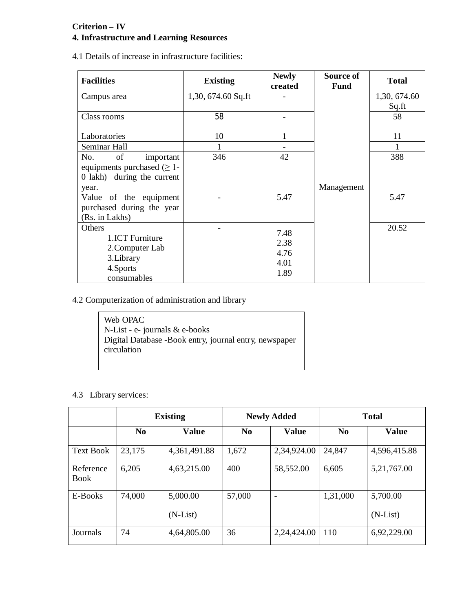## **Criterion – IV**

# **4. Infrastructure and Learning Resources**

4.1 Details of increase in infrastructure facilities:

| <b>Facilities</b>                                                                                                                                        | <b>Existing</b>     | <b>Newly</b><br>created              | Source of<br><b>Fund</b> | <b>Total</b>          |
|----------------------------------------------------------------------------------------------------------------------------------------------------------|---------------------|--------------------------------------|--------------------------|-----------------------|
| Campus area                                                                                                                                              | $1,30,674.60$ Sq.ft |                                      |                          | 1,30, 674.60<br>Sq.ft |
| Class rooms                                                                                                                                              | 58                  |                                      |                          | 58                    |
| Laboratories                                                                                                                                             | 10                  | 1                                    |                          | 11                    |
| Seminar Hall                                                                                                                                             | 1                   |                                      |                          | 1                     |
| No.<br>of<br>important<br>equipments purchased $(\geq 1$ -<br>0 lakh) during the current<br>year.<br>Value of the equipment<br>purchased during the year | 346                 | 42<br>5.47                           | Management               | 388<br>5.47           |
| (Rs. in Lakhs)<br>Others<br>1.ICT Furniture<br>2. Computer Lab<br>3. Library<br>4.Sports<br>consumables                                                  |                     | 7.48<br>2.38<br>4.76<br>4.01<br>1.89 |                          | 20.52                 |

4.2 Computerization of administration and library

| Web OPAC                                               |
|--------------------------------------------------------|
| N-List - e- journals $&$ e-books                       |
| Digital Database -Book entry, journal entry, newspaper |
| circulation                                            |
|                                                        |

4.3 Library services:

|                          | <b>Existing</b> |                        | <b>Newly Added</b> |                              | <b>Total</b>   |                        |
|--------------------------|-----------------|------------------------|--------------------|------------------------------|----------------|------------------------|
|                          | N <sub>0</sub>  | <b>Value</b>           | N <sub>0</sub>     | <b>Value</b>                 | N <sub>0</sub> | <b>Value</b>           |
| <b>Text Book</b>         | 23,175          | 4,361,491.88           | 1,672              | 2,34,924.00                  | 24,847         | 4,596,415.88           |
| Reference<br><b>Book</b> | 6,205           | 4,63,215.00            | 400                | 58,552.00                    | 6,605          | 5, 21, 767.00          |
| E-Books                  | 74,000          | 5,000.00<br>$(N-List)$ | 57,000             | $\qquad \qquad \blacksquare$ | 1,31,000       | 5,700.00<br>$(N-List)$ |
| Journals                 | 74              | 4,64,805.00            | 36                 | 2,24,424.00                  | 110            | 6,92,229.00            |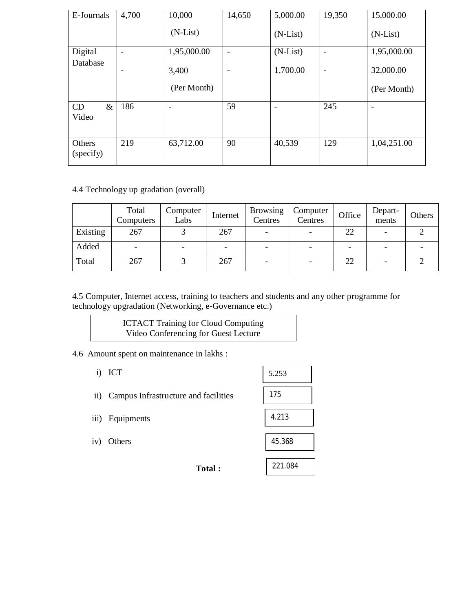| E-Journals          | 4,700           | 10,000      | 14,650                   | 5,000.00   | 19,350                   | 15,000.00   |
|---------------------|-----------------|-------------|--------------------------|------------|--------------------------|-------------|
|                     |                 | $(N-List)$  |                          | $(N-List)$ |                          | $(N-List)$  |
| Digital             | $\blacksquare$  | 1,95,000.00 | $\overline{\phantom{a}}$ | $(N-List)$ | $\overline{\phantom{a}}$ | 1,95,000.00 |
| Database            | $\qquad \qquad$ | 3,400       | $\overline{\phantom{a}}$ | 1,700.00   | $\overline{\phantom{a}}$ | 32,000.00   |
|                     |                 | (Per Month) |                          |            |                          | (Per Month) |
| $\&$<br>CD<br>Video | 186             |             | 59                       |            | 245                      |             |
| Others<br>(specify) | 219             | 63,712.00   | 90                       | 40,539     | 129                      | 1,04,251.00 |

4.4 Technology up gradation (overall)

|          | Total<br>Computers | Computer<br>Labs | Internet | <b>Browsing</b><br>Centres | Computer<br>Centres | Office | Depart-<br>ments | Others |
|----------|--------------------|------------------|----------|----------------------------|---------------------|--------|------------------|--------|
| Existing | 267                |                  | 267      |                            |                     | 22     |                  |        |
| Added    |                    |                  | -        |                            | -                   | -      |                  |        |
| Total    | 267                |                  | 267      |                            |                     | 22     |                  |        |

4.5 Computer, Internet access, training to teachers and students and any other programme for technology upgradation (Networking, e-Governance etc.)

> ICTACT Training for Cloud Computing Video Conferencing for Guest Lecture

4.6 Amount spent on maintenance in lakhs :

i) ICT

ii) Campus Infrastructure and facilities

iii) Equipments

iv) Others

| 5.253   |  |
|---------|--|
| 175     |  |
| 4 2 1 3 |  |
| 45.368  |  |

221.084

**Total :**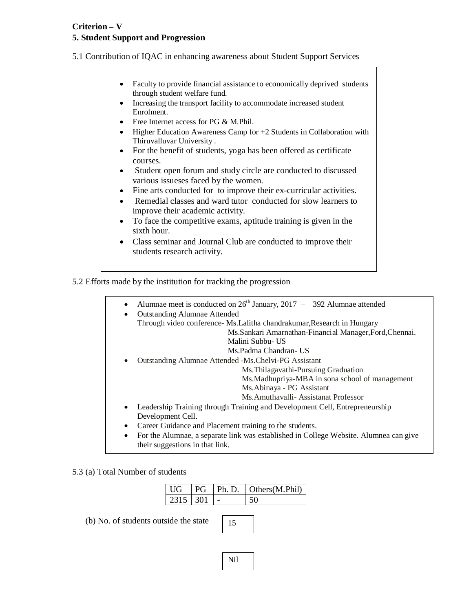## **Criterion – V 5. Student Support and Progression**

5.1 Contribution of IQAC in enhancing awareness about Student Support Services

- Faculty to provide financial assistance to economically deprived students through student welfare fund.
- Increasing the transport facility to accommodate increased student Enrolment.
- Free Internet access for PG & M.Phil.
- $\bullet$  Higher Education Awareness Camp for  $+2$  Students in Collaboration with Thiruvalluvar University .
- For the benefit of students, yoga has been offered as certificate courses.
- Student open forum and study circle are conducted to discussed various issueses faced by the women.
- Fine arts conducted for to improve their ex-curricular activities.
- Remedial classes and ward tutor conducted for slow learners to improve their academic activity.
- To face the competitive exams, aptitude training is given in the sixth hour.
- Class seminar and Journal Club are conducted to improve their students research activity.

5.2 Efforts made by the institution for tracking the progression

- Alumnae meet is conducted on  $26<sup>th</sup>$  January, 2017 392 Alumnae attended
- Outstanding Alumnae Attended Through video conference- Ms.Lalitha chandrakumar,Research in Hungary Ms.Sankari Amarnathan-Financial Manager,Ford,Chennai. Malini Subbu- US Ms.Padma Chandran- US Outstanding Alumnae Attended -Ms.Chelvi-PG Assistant Ms.Thilagavathi-Pursuing Graduation Ms.Madhupriya-MBA in sona school of management Ms.Abinaya - PG Assistant Ms.Amuthavalli- Assistanat Professor Leadership Training through Training and Development Cell, Entrepreneurship
	- Development Cell.
	- Career Guidance and Placement training to the students.
	- For the Alumnae, a separate link was established in College Website. Alumnea can give their suggestions in that link.

#### 5.3 (a) Total Number of students

| l UG       |  | $PG$   Ph. D.   Others (M. Phil) |
|------------|--|----------------------------------|
| $2315$ 301 |  |                                  |

(b) No. of students outside the state

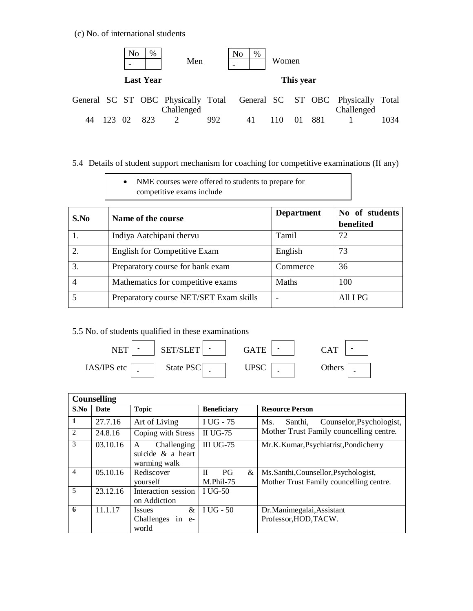(c) No. of international students



# 5.4 Details of student support mechanism for coaching for competitive examinations (If any)

| NME courses were offered to students to prepare for |
|-----------------------------------------------------|
| competitive exams include                           |

| S.No           | Name of the course                     | <b>Department</b> | No of students<br>benefited |
|----------------|----------------------------------------|-------------------|-----------------------------|
|                | Indiya Aatchipani thervu               | Tamil             | 72                          |
| $\overline{2}$ | <b>English for Competitive Exam</b>    | English           | 73                          |
| 3.             | Preparatory course for bank exam       | Commerce          | 36                          |
|                | Mathematics for competitive exams      | Maths             | 100                         |
|                | Preparatory course NET/SET Exam skills |                   | All I PG                    |

## 5.5 No. of students qualified in these examinations



|                | <b>Counselling</b> |                                                                |                                         |                                                                               |
|----------------|--------------------|----------------------------------------------------------------|-----------------------------------------|-------------------------------------------------------------------------------|
| S.No           | <b>Date</b>        | <b>Topic</b>                                                   | <b>Beneficiary</b>                      | <b>Resource Person</b>                                                        |
| -1             | 27.7.16            | Art of Living                                                  | I UG - 75                               | Counselor, Psychologist,<br>Ms.<br>Santhi,                                    |
| 2              | 24.8.16            | Coping with Stress                                             | II UG-75                                | Mother Trust Family councelling centre.                                       |
| 3              | 03.10.16           | Challenging<br>A<br>suicide & a heart<br>warming walk          | <b>III UG-75</b>                        | Mr.K.Kumar, Psychiatrist, Pondicherry                                         |
| $\overline{4}$ | 05.10.16           | Rediscover<br>vourself                                         | $P$ G<br>$\mathbf{H}$<br>&<br>M.Phil-75 | Ms.Santhi,Counsellor,Psychologist,<br>Mother Trust Family councelling centre. |
| 5              | 23.12.16           | Interaction session<br>on Addiction                            | I UG-50                                 |                                                                               |
| 6              | 11.1.17            | $\mathcal{X}$<br><i>Issues</i><br>Challenges<br>in e-<br>world | I UG - 50                               | Dr.Manimegalai, Assistant<br>Professor, HOD, TACW.                            |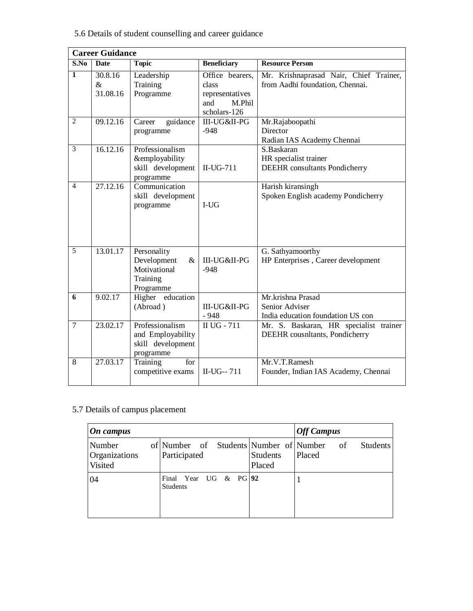# 5.6 Details of student counselling and career guidance

|                | <b>Career Guidance</b>      |                                                                             |                                                                              |                                                                             |  |  |
|----------------|-----------------------------|-----------------------------------------------------------------------------|------------------------------------------------------------------------------|-----------------------------------------------------------------------------|--|--|
| S.No           | <b>Date</b>                 | <b>Topic</b>                                                                | <b>Beneficiary</b>                                                           | <b>Resource Person</b>                                                      |  |  |
| 1              | 30.8.16<br>$\&$<br>31.08.16 | Leadership<br>Training<br>Programme                                         | Office bearers,<br>class<br>representatives<br>and<br>M.Phil<br>scholars-126 | Mr. Krishnaprasad Nair, Chief Trainer,<br>from Aadhi foundation, Chennai.   |  |  |
| $\overline{2}$ | 09.12.16                    | guidance<br>Career<br>programme                                             | III-UG&II-PG<br>$-948$                                                       | Mr.Rajaboopathi<br>Director<br>Radian IAS Academy Chennai                   |  |  |
| 3              | 16.12.16                    | Professionalism<br>&employability<br>skill development<br>programme         | $II-UG-711$                                                                  | S.Baskaran<br>HR specialist trainer<br><b>DEEHR</b> consultants Pondicherry |  |  |
| $\overline{4}$ | 27.12.16                    | Communication<br>skill development<br>programme                             | $I-UG$                                                                       | Harish kiransingh<br>Spoken English academy Pondicherry                     |  |  |
| $\overline{5}$ | 13.01.17                    | Personality<br>Development<br>$\&$<br>Motivational<br>Training<br>Programme | III-UG&II-PG<br>$-948$                                                       | G. Sathyamoorthy<br>HP Enterprises, Career development                      |  |  |
| 6              | 9.02.17                     | Higher education<br>(Abroad)                                                | III-UG&II-PG<br>$-948$                                                       | Mr.krishna Prasad<br>Senior Adviser<br>India education foundation US con    |  |  |
| $\overline{7}$ | 23.02.17                    | Professionalism<br>and Employability<br>skill development<br>programme      | II $\overline{UG - 711}$                                                     | Mr. S. Baskaran, HR specialist trainer<br>DEEHR cousnItants, Pondicherry    |  |  |
| 8              | 27.03.17                    | Training<br>for<br>competitive exams                                        | II-UG--711                                                                   | Mr.V.T.Ramesh<br>Founder, Indian IAS Academy, Chennai                       |  |  |

# 5.7 Details of campus placement

| On campus                          |                                                        |                           | <b>Off Campus</b>        |
|------------------------------------|--------------------------------------------------------|---------------------------|--------------------------|
| Number<br>Organizations<br>Visited | of Number of Students Number of Number<br>Participated | <b>Students</b><br>Placed | of<br>Students<br>Placed |
| 04                                 | Year UG & PG 92<br>Final<br><b>Students</b>            |                           |                          |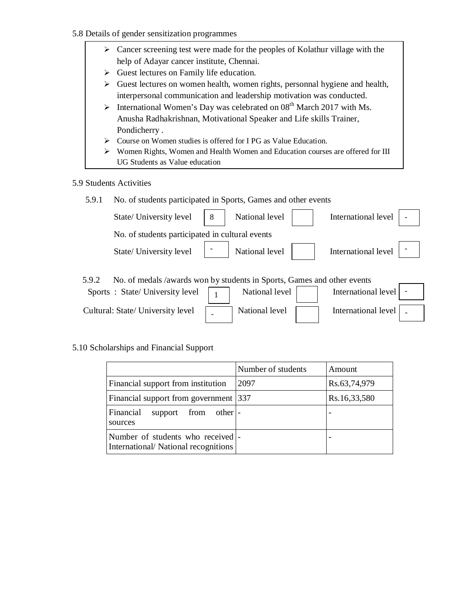- 5.8 Details of gender sensitization programmes
	- $\triangleright$  Cancer screening test were made for the peoples of Kolathur village with the help of Adayar cancer institute, Chennai.
	- $\triangleright$  Guest lectures on Family life education.
	- $\triangleright$  Guest lectures on women health, women rights, personnal hygiene and health, interpersonal communication and leadership motivation was conducted.
	- $\triangleright$  International Women's Day was celebrated on 08<sup>th</sup> March 2017 with Ms. Anusha Radhakrishnan, Motivational Speaker and Life skills Trainer, Pondicherry .
	- Course on Women studies is offered for I PG as Value Education.
	- Women Rights, Women and Health Women and Education courses are offered for III UG Students as Value education
- 5.9 Students Activities

| 5.9.1 | No. of students participated in Sports, Games and other events          |   |                |                     |  |
|-------|-------------------------------------------------------------------------|---|----------------|---------------------|--|
|       | State/ University level                                                 | 8 | National level | International level |  |
|       | No. of students participated in cultural events                         |   |                |                     |  |
|       | State/ University level                                                 |   | National level | International level |  |
| 5.9.2 | No. of medals /awards won by students in Sports, Games and other events |   |                |                     |  |
|       | Sports: State/University level                                          |   | National level | International level |  |

International level

5.10 Scholarships and Financial Support

Cultural: State/ University level **International level** National level

|                                                                           | Number of students | Amount       |
|---------------------------------------------------------------------------|--------------------|--------------|
| Financial support from institution                                        | 2097               | Rs.63,74,979 |
| Financial support from government 337                                     |                    | Rs.16,33,580 |
| Financial<br>support from other.<br>sources                               |                    |              |
| Number of students who received  -<br>International/National recognitions |                    |              |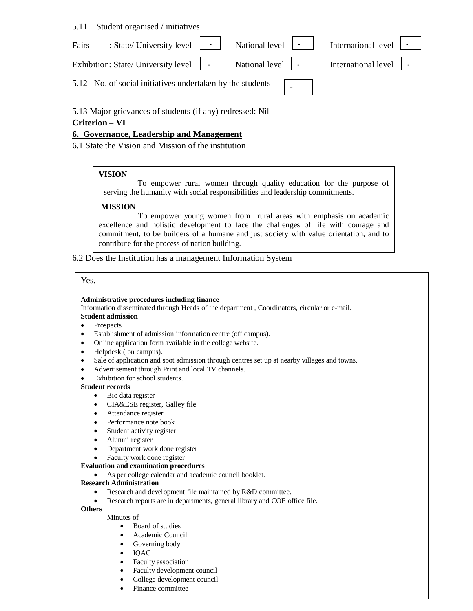#### 5.11 Student organised / initiatives

| Fairs | : State/ University level $\begin{array}{ c c c c c } \hline \end{array}$ National level $\begin{array}{ c c c c c } \hline \end{array}$                                                                           |  | International level $\vert \cdot \vert$ |  |
|-------|--------------------------------------------------------------------------------------------------------------------------------------------------------------------------------------------------------------------|--|-----------------------------------------|--|
|       | Exhibition: State/University level $\begin{vmatrix} 1 & 1 \\ 1 & 1 \end{vmatrix}$ National level $\begin{vmatrix} 1 & 1 \\ 1 & 1 \end{vmatrix}$ International level $\begin{vmatrix} 1 & 1 \\ 1 & 1 \end{vmatrix}$ |  |                                         |  |
|       | 5.12 No. of social initiatives undertaken by the students $\sqrt{ }$                                                                                                                                               |  |                                         |  |

5.13 Major grievances of students (if any) redressed: Nil

#### **Criterion – VI**

#### **6. Governance, Leadership and Management**

6.1 State the Vision and Mission of the institution

#### **VISION**

To empower rural women through quality education for the purpose of serving the humanity with social responsibilities and leadership commitments.

#### **MISSION**

 To empower young women from rural areas with emphasis on academic excellence and holistic development to face the challenges of life with courage and commitment, to be builders of a humane and just society with value orientation, and to contribute for the process of nation building.

6.2 Does the Institution has a management Information System

#### Yes.

#### **Administrative procedures including finance**

Information disseminated through Heads of the department , Coordinators, circular or e-mail.

### **Student admission**

- Prospects
- Establishment of admission information centre (off campus).
- Online application form available in the college website.
- Helpdesk ( on campus).
- Sale of application and spot admission through centres set up at nearby villages and towns.
- Advertisement through Print and local TV channels.
- Exhibition for school students.

#### **Student records**

- Bio data register
- CIA&ESE register, Galley file
- Attendance register
- Performance note book
- Student activity register
- Alumni register
- Department work done register
- Faculty work done register

#### **Evaluation and examination procedures**

As per college calendar and academic council booklet.

#### **Research Administration**

- Research and development file maintained by R&D committee.
- Research reports are in departments, general library and COE office file.

**Others** Minutes of

- Board of studies
- Academic Council
- Governing body
- IQAC
- Faculty association
- Faculty development council
- College development council
- Finance committee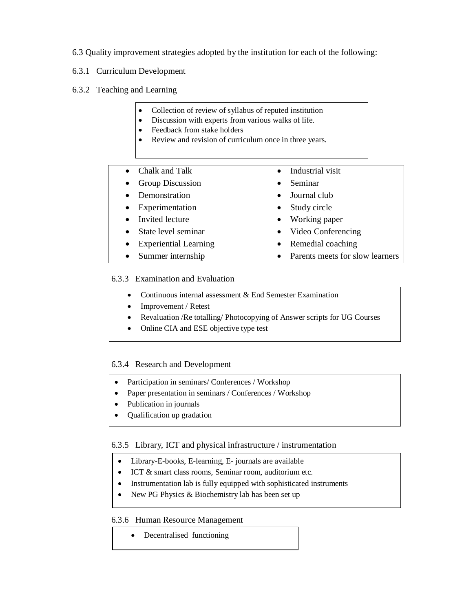- 6.3 Quality improvement strategies adopted by the institution for each of the following:
- 6.3.1 Curriculum Development
- 6.3.2 Teaching and Learning
	- Collection of review of syllabus of reputed institution
	- Discussion with experts from various walks of life.
	- Feedback from stake holders
	- Review and revision of curriculum once in three years.
	- Chalk and Talk • Group Discussion • Demonstration Experimentation • Invited lecture • State level seminar Experiential Learning • Summer internship Industrial visit • Seminar • Journal club • Study circle • Working paper • Video Conferencing • Remedial coaching • Parents meets for slow learners

#### 6.3.3 Examination and Evaluation

- Continuous internal assessment & End Semester Examination
- Improvement / Retest
- Revaluation /Re totalling/ Photocopying of Answer scripts for UG Courses
- Online CIA and ESE objective type test

#### 6.3.4 Research and Development

- Participation in seminars/ Conferences / Workshop
- Paper presentation in seminars / Conferences / Workshop
- Publication in journals
- Qualification up gradation

6.3.5 Library, ICT and physical infrastructure / instrumentation

- Library-E-books, E-learning, E- journals are available
- ICT & smart class rooms, Seminar room, auditorium etc.
- Instrumentation lab is fully equipped with sophisticated instruments
- New PG Physics & Biochemistry lab has been set up

#### 6.3.6 Human Resource Management

• Decentralised functioning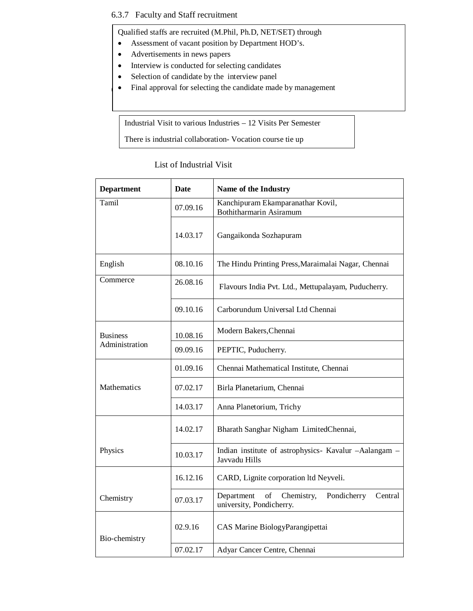### 6.3.7 Faculty and Staff recruitment

Qualified staffs are recruited (M.Phil, Ph.D, NET/SET) through

- Assessment of vacant position by Department HOD's.
- Advertisements in news papers
- Interview is conducted for selecting candidates
- Selection of candidate by the interview panel
- Final approval for selecting the candidate made by management

Industrial Visit to various Industries – 12 Visits Per Semester

There is industrial collaboration- Vocation course tie up

#### List of Industrial Visit

| <b>Department</b> | <b>Date</b>                                                                                      | <b>Name of the Industry</b>                                            |  |  |  |  |
|-------------------|--------------------------------------------------------------------------------------------------|------------------------------------------------------------------------|--|--|--|--|
| Tamil             | 07.09.16                                                                                         | Kanchipuram Ekamparanathar Kovil,<br>Bothitharmarin Asiramum           |  |  |  |  |
|                   | 14.03.17                                                                                         | Gangaikonda Sozhapuram                                                 |  |  |  |  |
| English           | 08.10.16                                                                                         | The Hindu Printing Press, Maraimalai Nagar, Chennai                    |  |  |  |  |
| Commerce          | 26.08.16                                                                                         | Flavours India Pvt. Ltd., Mettupalayam, Puducherry.                    |  |  |  |  |
|                   | 09.10.16                                                                                         | Carborundum Universal Ltd Chennai                                      |  |  |  |  |
| <b>Business</b>   | 10.08.16                                                                                         | Modern Bakers, Chennai                                                 |  |  |  |  |
| Administration    | 09.09.16                                                                                         | PEPTIC, Puducherry.                                                    |  |  |  |  |
|                   | 01.09.16                                                                                         | Chennai Mathematical Institute, Chennai                                |  |  |  |  |
| Mathematics       | 07.02.17                                                                                         | Birla Planetarium, Chennai                                             |  |  |  |  |
|                   | 14.03.17                                                                                         | Anna Planetorium, Trichy                                               |  |  |  |  |
|                   | 14.02.17                                                                                         | Bharath Sanghar Nigham LimitedChennai,                                 |  |  |  |  |
| Physics           | 10.03.17                                                                                         | Indian institute of astrophysics- Kavalur -Aalangam -<br>Javvadu Hills |  |  |  |  |
|                   | 16.12.16                                                                                         | CARD, Lignite corporation ltd Neyveli.                                 |  |  |  |  |
| Chemistry         | of<br>Chemistry,<br>Pondicherry<br>Department<br>Central<br>07.03.17<br>university, Pondicherry. |                                                                        |  |  |  |  |
| Bio-chemistry     | 02.9.16                                                                                          | CAS Marine BiologyParangipettai                                        |  |  |  |  |
|                   | 07.02.17                                                                                         | Adyar Cancer Centre, Chennai                                           |  |  |  |  |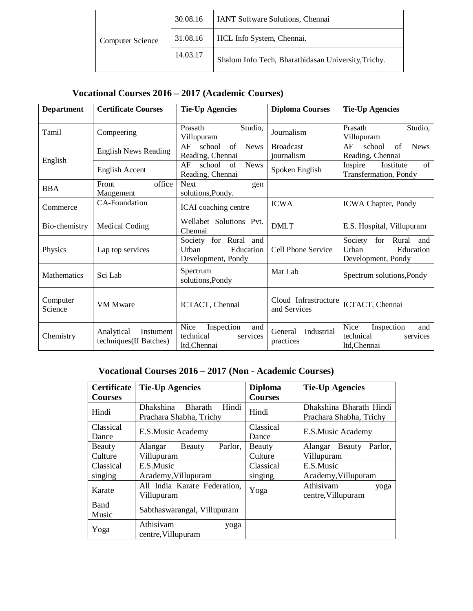|                         | 30.08.16 | IANT Software Solutions, Chennai                    |
|-------------------------|----------|-----------------------------------------------------|
| <b>Computer Science</b> | 31.08.16 | HCL Info System, Chennai.                           |
|                         | 14.03.17 | Shalom Info Tech, Bharathidasan University, Trichy. |

# **Vocational Courses 2016 – 2017 (Academic Courses)**

| <b>Department</b>   | <b>Certificate Courses</b>                        | <b>Tie-Up Agencies</b>                                                  | <b>Diploma Courses</b>               | <b>Tie-Up Agencies</b>                                                     |
|---------------------|---------------------------------------------------|-------------------------------------------------------------------------|--------------------------------------|----------------------------------------------------------------------------|
| Tamil               | Compeering                                        | Studio,<br>Prasath<br>Villupuram                                        | Journalism                           | Studio,<br>Prasath<br>Villupuram                                           |
| English             | <b>English News Reading</b>                       | AF<br>of<br><b>News</b><br>school<br>Reading, Chennai                   | <b>Broadcast</b><br>journalism       | of<br>AF<br>school<br><b>News</b><br>Reading, Chennai                      |
|                     | English Accent                                    | <b>News</b><br>AF<br>of<br>school<br>Reading, Chennai                   | Spoken English                       | of<br>Inspire<br>Institute<br>Transfermation, Pondy                        |
| <b>BBA</b>          | office<br>Front<br>Mangement                      | <b>Next</b><br>gen<br>solutions, Pondy.                                 |                                      |                                                                            |
| Commerce            | <b>CA-Foundation</b>                              | ICAI coaching centre                                                    | <b>ICWA</b>                          | <b>ICWA Chapter, Pondy</b>                                                 |
| Bio-chemistry       | Medical Coding                                    | Wellabet Solutions Pvt.<br>Chennai                                      | <b>DMLT</b>                          | E.S. Hospital, Villupuram                                                  |
| Physics             | Lap top services                                  | for<br>Rural and<br>Society<br>Education<br>Urban<br>Development, Pondy | Cell Phone Service                   | Society<br>for<br>Rural<br>and<br>Education<br>Urban<br>Development, Pondy |
| <b>Mathematics</b>  | Sci Lab                                           | Spectrum<br>solutions, Pondy                                            | Mat Lab                              | Spectrum solutions, Pondy                                                  |
| Computer<br>Science | VM Mware                                          | ICTACT, Chennai                                                         | Cloud Infrastructure<br>and Services | ICTACT, Chennai                                                            |
| Chemistry           | Analytical<br>Instument<br>techniques(II Batches) | Nice<br>Inspection<br>and<br>technical<br>services<br>ltd, Chennai      | Industrial<br>General<br>practices   | Nice<br>Inspection<br>and<br>technical<br>services<br>ltd, Chennai         |

# **Vocational Courses 2016 – 2017 (Non - Academic Courses)**

| <b>Certificate</b> | <b>Tie-Up Agencies</b>                                          | <b>Diploma</b> | <b>Tie-Up Agencies</b>                             |  |
|--------------------|-----------------------------------------------------------------|----------------|----------------------------------------------------|--|
| <b>Courses</b>     |                                                                 | <b>Courses</b> |                                                    |  |
| Hindi              | Dhakshina<br><b>Bharath</b><br>Hindi<br>Prachara Shabha, Trichy | Hindi          | Dhakshina Bharath Hindi<br>Prachara Shabha, Trichy |  |
| Classical          | E.S.Music Academy                                               | Classical      | E.S.Music Academy                                  |  |
| Dance              |                                                                 | Dance          |                                                    |  |
| Beauty             | Parlor,<br>Alangar<br>Beauty                                    | Beauty         | Parlor.<br>Beauty<br>Alangar                       |  |
| Culture            | Villupuram                                                      | Culture        | Villupuram                                         |  |
| Classical          | E.S.Music                                                       | Classical      | E.S.Music                                          |  |
| singing            | Academy, Villupuram                                             | singing        | Academy, Villupuram                                |  |
| Karate             | All India Karate Federation,                                    | Yoga           | Athisivam<br>yoga                                  |  |
|                    | Villupuram                                                      |                | centre, Villupuram                                 |  |
| Band               | Sabthaswarangal, Villupuram                                     |                |                                                    |  |
| Music              |                                                                 |                |                                                    |  |
| Yoga               | Athisivam<br>yoga                                               |                |                                                    |  |
|                    | centre, Villupuram                                              |                |                                                    |  |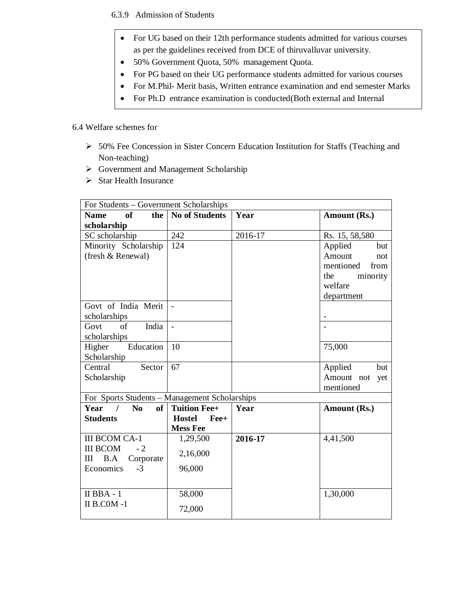6.3.9 Admission of Students

- For UG based on their 12th performance students admitted for various courses as per the guidelines received from DCE of thiruvalluvar university.
- 50% Government Quota, 50% management Quota.
- For PG based on their UG performance students admitted for various courses
- For M.Phil- Merit basis, Written entrance examination and end semester Marks
- For Ph.D entrance examination is conducted(Both external and Internal

#### 6.4 Welfare schemes for

- 50% Fee Concession in Sister Concern Education Institution for Staffs (Teaching and Non-teaching)
- Government and Management Scholarship

committee)

 $\triangleright$  Star Health Insurance

| For Students – Government Scholarships              |                       |         |                   |  |
|-----------------------------------------------------|-----------------------|---------|-------------------|--|
| of<br>the<br><b>Name</b>                            | <b>No of Students</b> | Year    | Amount (Rs.)      |  |
| scholarship                                         |                       |         |                   |  |
| SC scholarship                                      | 242                   | 2016-17 | Rs. 15, 58,580    |  |
| Minority Scholarship                                | 124                   |         | Applied<br>but    |  |
| (fresh & Renewal)                                   |                       |         | Amount<br>not     |  |
|                                                     |                       |         | mentioned<br>from |  |
|                                                     |                       |         | minority<br>the   |  |
|                                                     |                       |         | welfare           |  |
|                                                     |                       |         | department        |  |
| Govt of India Merit                                 |                       |         |                   |  |
| scholarships                                        |                       |         |                   |  |
| of<br>India<br>Govt                                 | $\Box$                |         |                   |  |
| scholarships                                        |                       |         |                   |  |
| Education<br>Higher                                 | 10                    |         | 75,000            |  |
| Scholarship                                         |                       |         |                   |  |
| Central<br>Sector                                   | 67                    |         | Applied<br>but    |  |
| Scholarship                                         |                       |         | Amount not<br>yet |  |
|                                                     |                       |         | mentioned         |  |
| For Sports Students - Management Scholarships       |                       |         |                   |  |
| Year /<br>of <sub>1</sub><br>$\mathbf{N}\mathbf{0}$ | <b>Tuition Fee+</b>   | Year    | Amount (Rs.)      |  |
| <b>Students</b>                                     | <b>Hostel</b><br>Fee+ |         |                   |  |
| <b>III BCOM CA-1</b>                                | <b>Mess Fee</b>       | 2016-17 | 4,41,500          |  |
| <b>III BCOM</b><br>$-2$                             | 1,29,500              |         |                   |  |
| B.A<br>Ш<br>Corporate                               | 2,16,000              |         |                   |  |
| Economics<br>$-3$                                   | 96,000                |         |                   |  |
|                                                     |                       |         |                   |  |
|                                                     |                       |         |                   |  |
| $II$ BBA - $1$                                      | 58,000                |         | 1,30,000          |  |
| II B.COM-1                                          | 72,000                |         |                   |  |
|                                                     |                       |         |                   |  |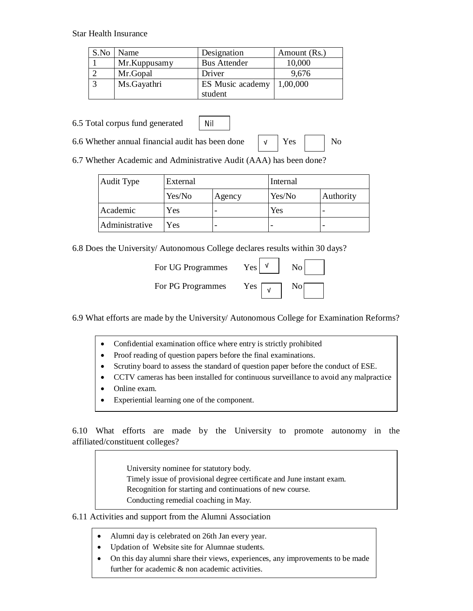#### Star Health Insurance

| S.No | Name         | Designation         | Amount (Rs.) |
|------|--------------|---------------------|--------------|
|      | Mr.Kuppusamy | <b>Bus Attender</b> | 10,000       |
|      | Mr.Gopal     | Driver              | 9,676        |
|      | Ms.Gayathri  | ES Music academy    | 1,00,000     |
|      |              | student             |              |

6.5 Total corpus fund generated



6.6 Whether annual financial audit has been done  $\vert \vee \vert$  Yes  $\vert$  No

6.7 Whether Academic and Administrative Audit (AAA) has been done?

| <b>Audit Type</b> | External |        | Internal |           |
|-------------------|----------|--------|----------|-----------|
|                   | Yes/No   | Agency | Yes/No   | Authority |
| Academic          | Yes      |        | Yes      |           |
| Administrative    | Yes      |        |          |           |

√

6.8 Does the University/ Autonomous College declares results within 30 days?

| For UG Programmes | Yes. | N <sub>0</sub> |
|-------------------|------|----------------|
| For PG Programmes | Y es |                |

6.9 What efforts are made by the University/ Autonomous College for Examination Reforms?

- Confidential examination office where entry is strictly prohibited
- Proof reading of question papers before the final examinations.
- Scrutiny board to assess the standard of question paper before the conduct of ESE.
- CCTV cameras has been installed for continuous surveillance to avoid any malpractice
- Online exam.
- Experiential learning one of the component.

6.10 What efforts are made by the University to promote autonomy in the affiliated/constituent colleges?

University nominee for statutory body.

- Timely issue of provisional degree certificate and June instant exam.
- Recognition for starting and continuations of new course.
- Conducting remedial coaching in May.

#### 6.11 Activities and support from the Alumni Association

- Alumni day is celebrated on 26th Jan every year.
- Updation of Website site for Alumnae students.
- On this day alumni share their views, experiences, any improvements to be made further for academic & non academic activities.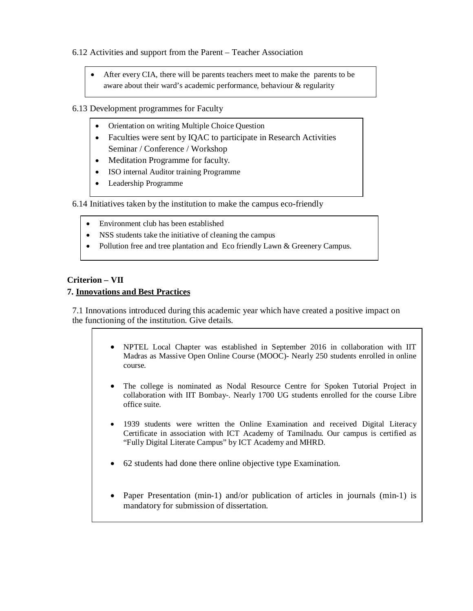#### 6.12 Activities and support from the Parent – Teacher Association

- After every CIA, there will be parents teachers meet to make the parents to be aware about their ward's academic performance, behaviour & regularity
- 6.13 Development programmes for Faculty
	- Orientation on writing Multiple Choice Question
	- Faculties were sent by IQAC to participate in Research Activities Seminar / Conference / Workshop
	- Meditation Programme for faculty.
	- ISO internal Auditor training Programme
	- Leadership Programme

6.14 Initiatives taken by the institution to make the campus eco-friendly

- Environment club has been established
- NSS students take the initiative of cleaning the campus
- Pollution free and tree plantation and Eco friendly Lawn & Greenery Campus.

#### **Criterion – VII**

#### **7. Innovations and Best Practices**

7.1 Innovations introduced during this academic year which have created a positive impact on the functioning of the institution. Give details.

- NPTEL Local Chapter was established in September 2016 in collaboration with IIT Madras as Massive Open Online Course (MOOC)- Nearly 250 students enrolled in online course.
- The college is nominated as Nodal Resource Centre for Spoken Tutorial Project in collaboration with IIT Bombay-. Nearly 1700 UG students enrolled for the course Libre office suite.
- 1939 students were written the Online Examination and received Digital Literacy Certificate in association with ICT Academy of Tamilnadu. Our campus is certified as "Fully Digital Literate Campus" by ICT Academy and MHRD.
- 62 students had done there online objective type Examination.
- Paper Presentation (min-1) and/or publication of articles in journals (min-1) is mandatory for submission of dissertation.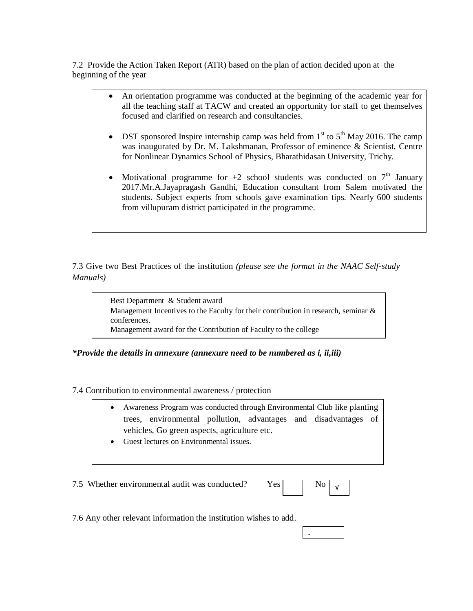7.2 Provide the Action Taken Report (ATR) based on the plan of action decided upon at the beginning of the year

- An orientation programme was conducted at the beginning of the academic year for all the teaching staff at TACW and created an opportunity for staff to get themselves focused and clarified on research and consultancies.
- DST sponsored Inspire internship camp was held from  $1<sup>st</sup>$  to  $5<sup>th</sup>$  May 2016. The camp was inaugurated by Dr. M. Lakshmanan, Professor of eminence & Scientist, Centre for Nonlinear Dynamics School of Physics, Bharathidasan University, Trichy.
- Motivational programme for  $+2$  school students was conducted on  $7<sup>th</sup>$  January 2017.Mr.A.Jayapragash Gandhi, Education consultant from Salem motivated the students. Subject experts from schools gave examination tips. Nearly 600 students from villupuram district participated in the programme.

7.3 Give two Best Practices of the institution *(please see the format in the NAAC Self-study Manuals)*

> Best Department & Student award Management Incentives to the Faculty for their contribution in research, seminar  $\&$ conferences. Management award for the Contribution of Faculty to the college

*\*Provide the details in annexure (annexure need to be numbered as i, ii,iii)*

7.4 Contribution to environmental awareness / protection

- Awareness Program was conducted through Environmental Club like planting trees, environmental pollution, advantages and disadvantages of vehicles, Go green aspects, agriculture etc.
- Guest lectures on Environmental issues.

7.5 Whether environmental audit was conducted? Y

| ρç |  |  |  |
|----|--|--|--|
|----|--|--|--|

-

7.6 Any other relevant information the institution wishes to add.